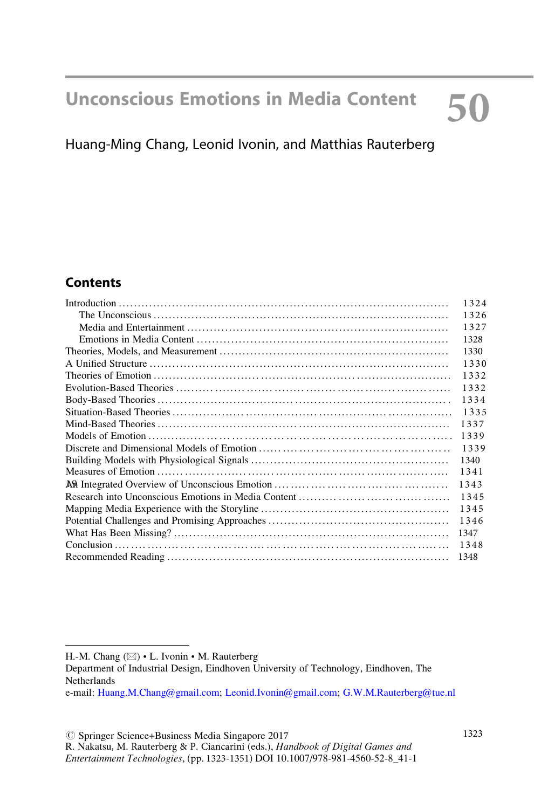# Unconscious Emotions in Media Content **50**

# Huang-Ming Chang, Leonid Ivonin, and Matthias Rauterberg

# **Contents**

| 1324 |
|------|
| 1326 |
| 1327 |
| 1328 |
| 1330 |
| 1330 |
| 1332 |
| 1332 |
| 1334 |
| 1335 |
| 1337 |
| 1339 |
| 1339 |
| 1340 |
| 1341 |
| 1343 |
| 1345 |
| 1345 |
| 1346 |
| 1347 |
| 1348 |
| 1348 |
|      |

H.-M. Chang  $(\boxtimes) \cdot L$ . Ivonin  $\cdot M$ . Rauterberg

e-mail: [Huang.M.Chang@gmail.com;](mailto:Huang.M.Chang@gmail.com) [Leonid.Ivonin@gmail.com;](mailto:Leonid.Ivonin@gmail.com) [G.W.M.Rauterberg@tue.nl](mailto:G.W.M.Rauterberg@tue.nl)

Department of Industrial Design, Eindhoven University of Technology, Eindhoven, The Netherlands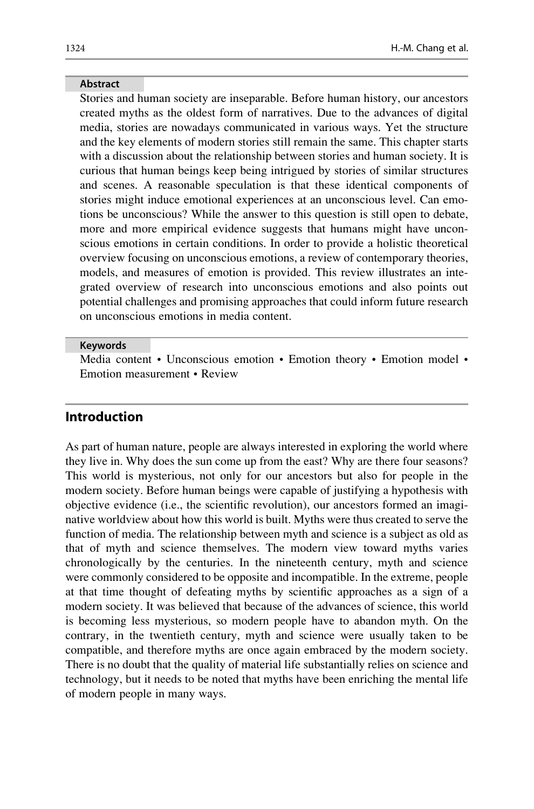#### Abstract

Stories and human society are inseparable. Before human history, our ancestors created myths as the oldest form of narratives. Due to the advances of digital media, stories are nowadays communicated in various ways. Yet the structure and the key elements of modern stories still remain the same. This chapter starts with a discussion about the relationship between stories and human society. It is curious that human beings keep being intrigued by stories of similar structures and scenes. A reasonable speculation is that these identical components of stories might induce emotional experiences at an unconscious level. Can emotions be unconscious? While the answer to this question is still open to debate, more and more empirical evidence suggests that humans might have unconscious emotions in certain conditions. In order to provide a holistic theoretical overview focusing on unconscious emotions, a review of contemporary theories, models, and measures of emotion is provided. This review illustrates an integrated overview of research into unconscious emotions and also points out potential challenges and promising approaches that could inform future research on unconscious emotions in media content.

#### Keywords

Media content • Unconscious emotion • Emotion theory • Emotion model • Emotion measurement • Review

# Introduction

As part of human nature, people are always interested in exploring the world where they live in. Why does the sun come up from the east? Why are there four seasons? This world is mysterious, not only for our ancestors but also for people in the modern society. Before human beings were capable of justifying a hypothesis with objective evidence (i.e., the scientific revolution), our ancestors formed an imaginative worldview about how this world is built. Myths were thus created to serve the function of media. The relationship between myth and science is a subject as old as that of myth and science themselves. The modern view toward myths varies chronologically by the centuries. In the nineteenth century, myth and science were commonly considered to be opposite and incompatible. In the extreme, people at that time thought of defeating myths by scientific approaches as a sign of a modern society. It was believed that because of the advances of science, this world is becoming less mysterious, so modern people have to abandon myth. On the contrary, in the twentieth century, myth and science were usually taken to be compatible, and therefore myths are once again embraced by the modern society. There is no doubt that the quality of material life substantially relies on science and technology, but it needs to be noted that myths have been enriching the mental life of modern people in many ways.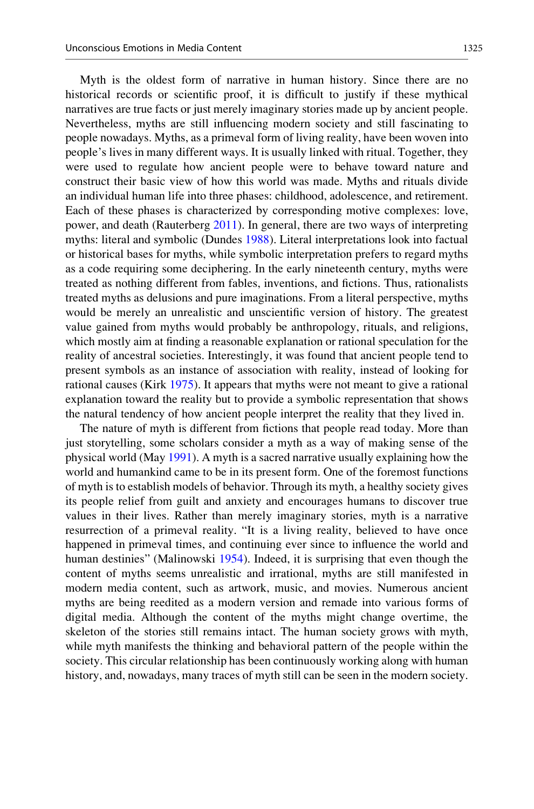Myth is the oldest form of narrative in human history. Since there are no historical records or scientific proof, it is difficult to justify if these mythical narratives are true facts or just merely imaginary stories made up by ancient people. Nevertheless, myths are still influencing modern society and still fascinating to people nowadays. Myths, as a primeval form of living reality, have been woven into people's lives in many different ways. It is usually linked with ritual. Together, they were used to regulate how ancient people were to behave toward nature and construct their basic view of how this world was made. Myths and rituals divide an individual human life into three phases: childhood, adolescence, and retirement. Each of these phases is characterized by corresponding motive complexes: love, power, and death (Rauterberg [2011\)](#page-27-0). In general, there are two ways of interpreting myths: literal and symbolic (Dundes [1988\)](#page-26-0). Literal interpretations look into factual or historical bases for myths, while symbolic interpretation prefers to regard myths as a code requiring some deciphering. In the early nineteenth century, myths were treated as nothing different from fables, inventions, and fictions. Thus, rationalists treated myths as delusions and pure imaginations. From a literal perspective, myths would be merely an unrealistic and unscientific version of history. The greatest value gained from myths would probably be anthropology, rituals, and religions, which mostly aim at finding a reasonable explanation or rational speculation for the reality of ancestral societies. Interestingly, it was found that ancient people tend to present symbols as an instance of association with reality, instead of looking for rational causes (Kirk [1975\)](#page-26-0). It appears that myths were not meant to give a rational explanation toward the reality but to provide a symbolic representation that shows the natural tendency of how ancient people interpret the reality that they lived in.

The nature of myth is different from fictions that people read today. More than just storytelling, some scholars consider a myth as a way of making sense of the physical world (May [1991](#page-27-0)). A myth is a sacred narrative usually explaining how the world and humankind came to be in its present form. One of the foremost functions of myth is to establish models of behavior. Through its myth, a healthy society gives its people relief from guilt and anxiety and encourages humans to discover true values in their lives. Rather than merely imaginary stories, myth is a narrative resurrection of a primeval reality. "It is a living reality, believed to have once happened in primeval times, and continuing ever since to influence the world and human destinies" (Malinowski [1954](#page-27-0)). Indeed, it is surprising that even though the content of myths seems unrealistic and irrational, myths are still manifested in modern media content, such as artwork, music, and movies. Numerous ancient myths are being reedited as a modern version and remade into various forms of digital media. Although the content of the myths might change overtime, the skeleton of the stories still remains intact. The human society grows with myth, while myth manifests the thinking and behavioral pattern of the people within the society. This circular relationship has been continuously working along with human history, and, nowadays, many traces of myth still can be seen in the modern society.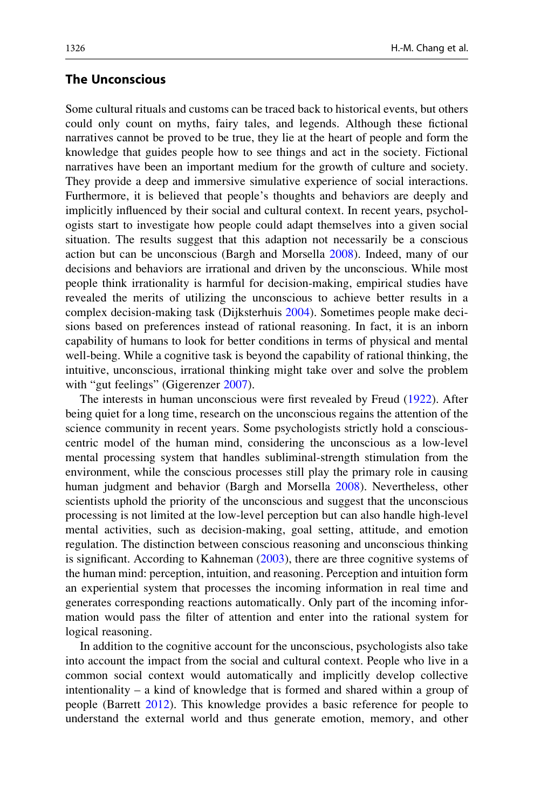#### The Unconscious

Some cultural rituals and customs can be traced back to historical events, but others could only count on myths, fairy tales, and legends. Although these fictional narratives cannot be proved to be true, they lie at the heart of people and form the knowledge that guides people how to see things and act in the society. Fictional narratives have been an important medium for the growth of culture and society. They provide a deep and immersive simulative experience of social interactions. Furthermore, it is believed that people's thoughts and behaviors are deeply and implicitly influenced by their social and cultural context. In recent years, psychologists start to investigate how people could adapt themselves into a given social situation. The results suggest that this adaption not necessarily be a conscious action but can be unconscious (Bargh and Morsella [2008](#page-25-0)). Indeed, many of our decisions and behaviors are irrational and driven by the unconscious. While most people think irrationality is harmful for decision-making, empirical studies have revealed the merits of utilizing the unconscious to achieve better results in a complex decision-making task (Dijksterhuis [2004](#page-26-0)). Sometimes people make decisions based on preferences instead of rational reasoning. In fact, it is an inborn capability of humans to look for better conditions in terms of physical and mental well-being. While a cognitive task is beyond the capability of rational thinking, the intuitive, unconscious, irrational thinking might take over and solve the problem with "gut feelings" (Gigerenzer [2007](#page-26-0)).

The interests in human unconscious were first revealed by Freud ([1922\)](#page-26-0). After being quiet for a long time, research on the unconscious regains the attention of the science community in recent years. Some psychologists strictly hold a consciouscentric model of the human mind, considering the unconscious as a low-level mental processing system that handles subliminal-strength stimulation from the environment, while the conscious processes still play the primary role in causing human judgment and behavior (Bargh and Morsella [2008](#page-25-0)). Nevertheless, other scientists uphold the priority of the unconscious and suggest that the unconscious processing is not limited at the low-level perception but can also handle high-level mental activities, such as decision-making, goal setting, attitude, and emotion regulation. The distinction between conscious reasoning and unconscious thinking is significant. According to Kahneman [\(2003](#page-26-0)), there are three cognitive systems of the human mind: perception, intuition, and reasoning. Perception and intuition form an experiential system that processes the incoming information in real time and generates corresponding reactions automatically. Only part of the incoming information would pass the filter of attention and enter into the rational system for logical reasoning.

In addition to the cognitive account for the unconscious, psychologists also take into account the impact from the social and cultural context. People who live in a common social context would automatically and implicitly develop collective intentionality – a kind of knowledge that is formed and shared within a group of people (Barrett [2012\)](#page-25-0). This knowledge provides a basic reference for people to understand the external world and thus generate emotion, memory, and other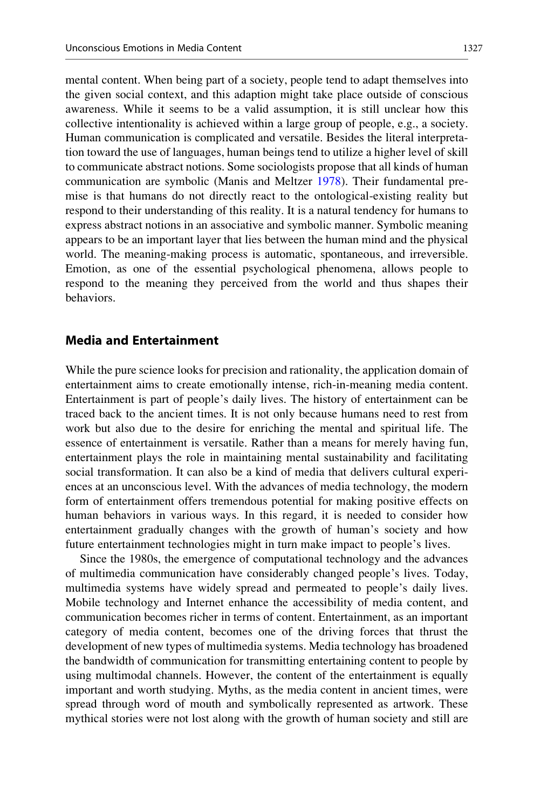mental content. When being part of a society, people tend to adapt themselves into the given social context, and this adaption might take place outside of conscious awareness. While it seems to be a valid assumption, it is still unclear how this collective intentionality is achieved within a large group of people, e.g., a society. Human communication is complicated and versatile. Besides the literal interpretation toward the use of languages, human beings tend to utilize a higher level of skill to communicate abstract notions. Some sociologists propose that all kinds of human communication are symbolic (Manis and Meltzer [1978\)](#page-27-0). Their fundamental premise is that humans do not directly react to the ontological-existing reality but respond to their understanding of this reality. It is a natural tendency for humans to express abstract notions in an associative and symbolic manner. Symbolic meaning appears to be an important layer that lies between the human mind and the physical world. The meaning-making process is automatic, spontaneous, and irreversible. Emotion, as one of the essential psychological phenomena, allows people to respond to the meaning they perceived from the world and thus shapes their behaviors.

### Media and Entertainment

While the pure science looks for precision and rationality, the application domain of entertainment aims to create emotionally intense, rich-in-meaning media content. Entertainment is part of people's daily lives. The history of entertainment can be traced back to the ancient times. It is not only because humans need to rest from work but also due to the desire for enriching the mental and spiritual life. The essence of entertainment is versatile. Rather than a means for merely having fun, entertainment plays the role in maintaining mental sustainability and facilitating social transformation. It can also be a kind of media that delivers cultural experiences at an unconscious level. With the advances of media technology, the modern form of entertainment offers tremendous potential for making positive effects on human behaviors in various ways. In this regard, it is needed to consider how entertainment gradually changes with the growth of human's society and how future entertainment technologies might in turn make impact to people's lives.

Since the 1980s, the emergence of computational technology and the advances of multimedia communication have considerably changed people's lives. Today, multimedia systems have widely spread and permeated to people's daily lives. Mobile technology and Internet enhance the accessibility of media content, and communication becomes richer in terms of content. Entertainment, as an important category of media content, becomes one of the driving forces that thrust the development of new types of multimedia systems. Media technology has broadened the bandwidth of communication for transmitting entertaining content to people by using multimodal channels. However, the content of the entertainment is equally important and worth studying. Myths, as the media content in ancient times, were spread through word of mouth and symbolically represented as artwork. These mythical stories were not lost along with the growth of human society and still are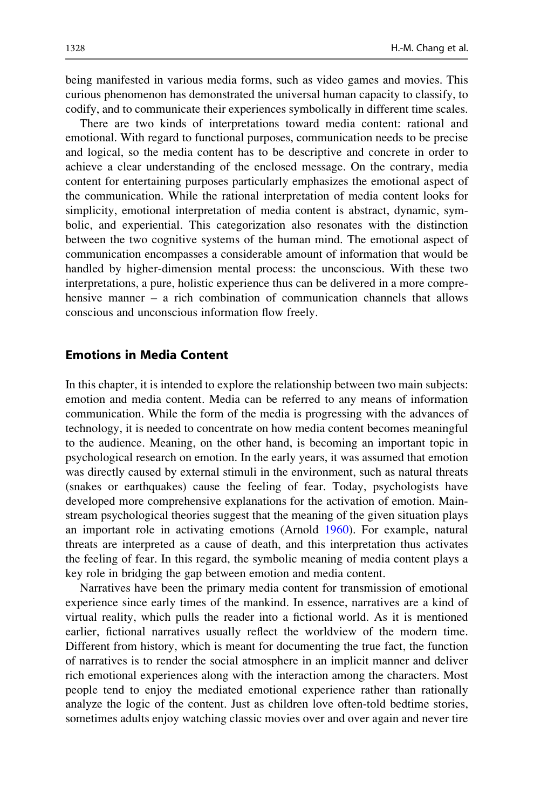being manifested in various media forms, such as video games and movies. This curious phenomenon has demonstrated the universal human capacity to classify, to codify, and to communicate their experiences symbolically in different time scales.

There are two kinds of interpretations toward media content: rational and emotional. With regard to functional purposes, communication needs to be precise and logical, so the media content has to be descriptive and concrete in order to achieve a clear understanding of the enclosed message. On the contrary, media content for entertaining purposes particularly emphasizes the emotional aspect of the communication. While the rational interpretation of media content looks for simplicity, emotional interpretation of media content is abstract, dynamic, symbolic, and experiential. This categorization also resonates with the distinction between the two cognitive systems of the human mind. The emotional aspect of communication encompasses a considerable amount of information that would be handled by higher-dimension mental process: the unconscious. With these two interpretations, a pure, holistic experience thus can be delivered in a more comprehensive manner – a rich combination of communication channels that allows conscious and unconscious information flow freely.

#### Emotions in Media Content

In this chapter, it is intended to explore the relationship between two main subjects: emotion and media content. Media can be referred to any means of information communication. While the form of the media is progressing with the advances of technology, it is needed to concentrate on how media content becomes meaningful to the audience. Meaning, on the other hand, is becoming an important topic in psychological research on emotion. In the early years, it was assumed that emotion was directly caused by external stimuli in the environment, such as natural threats (snakes or earthquakes) cause the feeling of fear. Today, psychologists have developed more comprehensive explanations for the activation of emotion. Mainstream psychological theories suggest that the meaning of the given situation plays an important role in activating emotions (Arnold [1960](#page-25-0)). For example, natural threats are interpreted as a cause of death, and this interpretation thus activates the feeling of fear. In this regard, the symbolic meaning of media content plays a key role in bridging the gap between emotion and media content.

Narratives have been the primary media content for transmission of emotional experience since early times of the mankind. In essence, narratives are a kind of virtual reality, which pulls the reader into a fictional world. As it is mentioned earlier, fictional narratives usually reflect the worldview of the modern time. Different from history, which is meant for documenting the true fact, the function of narratives is to render the social atmosphere in an implicit manner and deliver rich emotional experiences along with the interaction among the characters. Most people tend to enjoy the mediated emotional experience rather than rationally analyze the logic of the content. Just as children love often-told bedtime stories, sometimes adults enjoy watching classic movies over and over again and never tire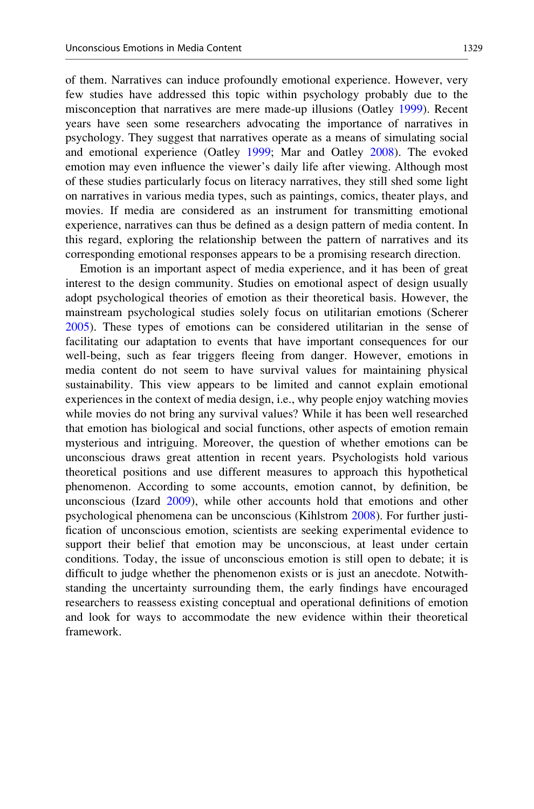of them. Narratives can induce profoundly emotional experience. However, very few studies have addressed this topic within psychology probably due to the misconception that narratives are mere made-up illusions (Oatley [1999](#page-27-0)). Recent years have seen some researchers advocating the importance of narratives in psychology. They suggest that narratives operate as a means of simulating social and emotional experience (Oatley [1999;](#page-27-0) Mar and Oatley [2008\)](#page-27-0). The evoked emotion may even influence the viewer's daily life after viewing. Although most of these studies particularly focus on literacy narratives, they still shed some light on narratives in various media types, such as paintings, comics, theater plays, and movies. If media are considered as an instrument for transmitting emotional experience, narratives can thus be defined as a design pattern of media content. In this regard, exploring the relationship between the pattern of narratives and its corresponding emotional responses appears to be a promising research direction.

Emotion is an important aspect of media experience, and it has been of great interest to the design community. Studies on emotional aspect of design usually adopt psychological theories of emotion as their theoretical basis. However, the mainstream psychological studies solely focus on utilitarian emotions (Scherer [2005\)](#page-27-0). These types of emotions can be considered utilitarian in the sense of facilitating our adaptation to events that have important consequences for our well-being, such as fear triggers fleeing from danger. However, emotions in media content do not seem to have survival values for maintaining physical sustainability. This view appears to be limited and cannot explain emotional experiences in the context of media design, i.e., why people enjoy watching movies while movies do not bring any survival values? While it has been well researched that emotion has biological and social functions, other aspects of emotion remain mysterious and intriguing. Moreover, the question of whether emotions can be unconscious draws great attention in recent years. Psychologists hold various theoretical positions and use different measures to approach this hypothetical phenomenon. According to some accounts, emotion cannot, by definition, be unconscious (Izard [2009](#page-26-0)), while other accounts hold that emotions and other psychological phenomena can be unconscious (Kihlstrom [2008](#page-26-0)). For further justification of unconscious emotion, scientists are seeking experimental evidence to support their belief that emotion may be unconscious, at least under certain conditions. Today, the issue of unconscious emotion is still open to debate; it is difficult to judge whether the phenomenon exists or is just an anecdote. Notwithstanding the uncertainty surrounding them, the early findings have encouraged researchers to reassess existing conceptual and operational definitions of emotion and look for ways to accommodate the new evidence within their theoretical framework.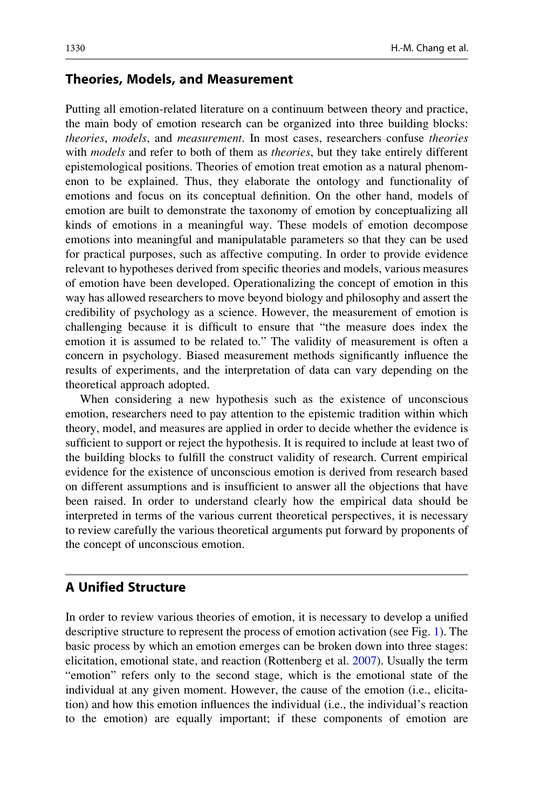#### Theories, Models, and Measurement

Putting all emotion-related literature on a continuum between theory and practice, the main body of emotion research can be organized into three building blocks: theories, models, and measurement. In most cases, researchers confuse theories with models and refer to both of them as theories, but they take entirely different epistemological positions. Theories of emotion treat emotion as a natural phenomenon to be explained. Thus, they elaborate the ontology and functionality of emotions and focus on its conceptual definition. On the other hand, models of emotion are built to demonstrate the taxonomy of emotion by conceptualizing all kinds of emotions in a meaningful way. These models of emotion decompose emotions into meaningful and manipulatable parameters so that they can be used for practical purposes, such as affective computing. In order to provide evidence relevant to hypotheses derived from specific theories and models, various measures of emotion have been developed. Operationalizing the concept of emotion in this way has allowed researchers to move beyond biology and philosophy and assert the credibility of psychology as a science. However, the measurement of emotion is challenging because it is difficult to ensure that "the measure does index the emotion it is assumed to be related to." The validity of measurement is often a concern in psychology. Biased measurement methods significantly influence the results of experiments, and the interpretation of data can vary depending on the theoretical approach adopted.

When considering a new hypothesis such as the existence of unconscious emotion, researchers need to pay attention to the epistemic tradition within which theory, model, and measures are applied in order to decide whether the evidence is sufficient to support or reject the hypothesis. It is required to include at least two of the building blocks to fulfill the construct validity of research. Current empirical evidence for the existence of unconscious emotion is derived from research based on different assumptions and is insufficient to answer all the objections that have been raised. In order to understand clearly how the empirical data should be interpreted in terms of the various current theoretical perspectives, it is necessary to review carefully the various theoretical arguments put forward by proponents of the concept of unconscious emotion.

# A Unified Structure

In order to review various theories of emotion, it is necessary to develop a unified descriptive structure to represent the process of emotion activation (see Fig. [1\)](#page-8-0). The basic process by which an emotion emerges can be broken down into three stages: elicitation, emotional state, and reaction (Rottenberg et al. [2007](#page-27-0)). Usually the term "emotion" refers only to the second stage, which is the emotional state of the individual at any given moment. However, the cause of the emotion (i.e., elicitation) and how this emotion influences the individual (i.e., the individual's reaction to the emotion) are equally important; if these components of emotion are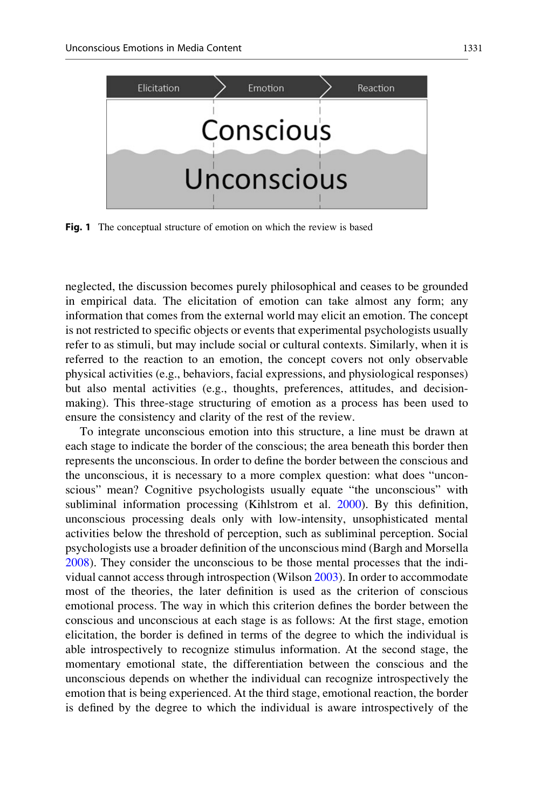<span id="page-8-0"></span>

Fig. 1 The conceptual structure of emotion on which the review is based

neglected, the discussion becomes purely philosophical and ceases to be grounded in empirical data. The elicitation of emotion can take almost any form; any information that comes from the external world may elicit an emotion. The concept is not restricted to specific objects or events that experimental psychologists usually refer to as stimuli, but may include social or cultural contexts. Similarly, when it is referred to the reaction to an emotion, the concept covers not only observable physical activities (e.g., behaviors, facial expressions, and physiological responses) but also mental activities (e.g., thoughts, preferences, attitudes, and decisionmaking). This three-stage structuring of emotion as a process has been used to ensure the consistency and clarity of the rest of the review.

To integrate unconscious emotion into this structure, a line must be drawn at each stage to indicate the border of the conscious; the area beneath this border then represents the unconscious. In order to define the border between the conscious and the unconscious, it is necessary to a more complex question: what does "unconscious" mean? Cognitive psychologists usually equate "the unconscious" with subliminal information processing (Kihlstrom et al. [2000\)](#page-26-0). By this definition, unconscious processing deals only with low-intensity, unsophisticated mental activities below the threshold of perception, such as subliminal perception. Social psychologists use a broader definition of the unconscious mind (Bargh and Morsella [2008\)](#page-25-0). They consider the unconscious to be those mental processes that the individual cannot access through introspection (Wilson [2003\)](#page-28-0). In order to accommodate most of the theories, the later definition is used as the criterion of conscious emotional process. The way in which this criterion defines the border between the conscious and unconscious at each stage is as follows: At the first stage, emotion elicitation, the border is defined in terms of the degree to which the individual is able introspectively to recognize stimulus information. At the second stage, the momentary emotional state, the differentiation between the conscious and the unconscious depends on whether the individual can recognize introspectively the emotion that is being experienced. At the third stage, emotional reaction, the border is defined by the degree to which the individual is aware introspectively of the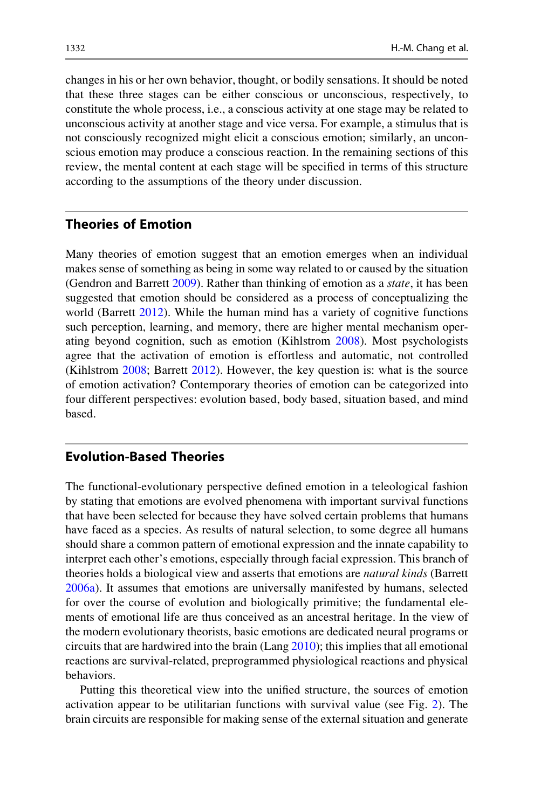changes in his or her own behavior, thought, or bodily sensations. It should be noted that these three stages can be either conscious or unconscious, respectively, to constitute the whole process, i.e., a conscious activity at one stage may be related to unconscious activity at another stage and vice versa. For example, a stimulus that is not consciously recognized might elicit a conscious emotion; similarly, an unconscious emotion may produce a conscious reaction. In the remaining sections of this review, the mental content at each stage will be specified in terms of this structure according to the assumptions of the theory under discussion.

## Theories of Emotion

Many theories of emotion suggest that an emotion emerges when an individual makes sense of something as being in some way related to or caused by the situation (Gendron and Barrett [2009\)](#page-26-0). Rather than thinking of emotion as a state, it has been suggested that emotion should be considered as a process of conceptualizing the world (Barrett [2012\)](#page-25-0). While the human mind has a variety of cognitive functions such perception, learning, and memory, there are higher mental mechanism operating beyond cognition, such as emotion (Kihlstrom [2008](#page-26-0)). Most psychologists agree that the activation of emotion is effortless and automatic, not controlled (Kihlstrom [2008;](#page-26-0) Barrett [2012\)](#page-25-0). However, the key question is: what is the source of emotion activation? Contemporary theories of emotion can be categorized into four different perspectives: evolution based, body based, situation based, and mind based.

## Evolution-Based Theories

The functional-evolutionary perspective defined emotion in a teleological fashion by stating that emotions are evolved phenomena with important survival functions that have been selected for because they have solved certain problems that humans have faced as a species. As results of natural selection, to some degree all humans should share a common pattern of emotional expression and the innate capability to interpret each other's emotions, especially through facial expression. This branch of theories holds a biological view and asserts that emotions are natural kinds (Barrett [2006a](#page-25-0)). It assumes that emotions are universally manifested by humans, selected for over the course of evolution and biologically primitive; the fundamental elements of emotional life are thus conceived as an ancestral heritage. In the view of the modern evolutionary theorists, basic emotions are dedicated neural programs or circuits that are hardwired into the brain (Lang  $2010$ ); this implies that all emotional reactions are survival-related, preprogrammed physiological reactions and physical behaviors.

Putting this theoretical view into the unified structure, the sources of emotion activation appear to be utilitarian functions with survival value (see Fig. [2\)](#page-10-0). The brain circuits are responsible for making sense of the external situation and generate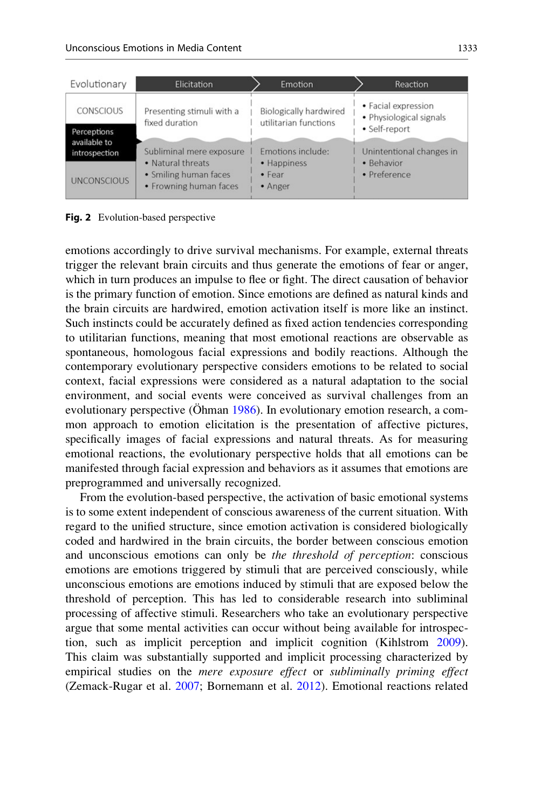<span id="page-10-0"></span>

| Evolutionary                  | Elicitation                                                          | Emotion                                                | Reaction                                       |
|-------------------------------|----------------------------------------------------------------------|--------------------------------------------------------|------------------------------------------------|
| <b>CONSCIOUS</b>              | Presenting stimuli with a<br>fixed duration                          | <b>Biologically hardwired</b><br>utilitarian functions | • Facial expression<br>• Physiological signals |
| Perceptions                   |                                                                      |                                                        | • Self-report                                  |
| available to<br>introspection | Subliminal mere exposure<br>• Natural threats                        | Emotions include:                                      | Unintentional changes in                       |
| <b>UNCONSCIOUS</b>            | • Smiling human faces<br>• Fear<br>• Frowning human faces<br>• Anger | • Happiness                                            | · Behavior<br>• Preference                     |

Fig. 2 Evolution-based perspective

emotions accordingly to drive survival mechanisms. For example, external threats trigger the relevant brain circuits and thus generate the emotions of fear or anger, which in turn produces an impulse to flee or fight. The direct causation of behavior is the primary function of emotion. Since emotions are defined as natural kinds and the brain circuits are hardwired, emotion activation itself is more like an instinct. Such instincts could be accurately defined as fixed action tendencies corresponding to utilitarian functions, meaning that most emotional reactions are observable as spontaneous, homologous facial expressions and bodily reactions. Although the contemporary evolutionary perspective considers emotions to be related to social context, facial expressions were considered as a natural adaptation to the social environment, and social events were conceived as survival challenges from an evolutionary perspective ( $\ddot{\text{O}}$ hman [1986\)](#page-27-0). In evolutionary emotion research, a common approach to emotion elicitation is the presentation of affective pictures, specifically images of facial expressions and natural threats. As for measuring emotional reactions, the evolutionary perspective holds that all emotions can be manifested through facial expression and behaviors as it assumes that emotions are preprogrammed and universally recognized.

From the evolution-based perspective, the activation of basic emotional systems is to some extent independent of conscious awareness of the current situation. With regard to the unified structure, since emotion activation is considered biologically coded and hardwired in the brain circuits, the border between conscious emotion and unconscious emotions can only be the threshold of perception: conscious emotions are emotions triggered by stimuli that are perceived consciously, while unconscious emotions are emotions induced by stimuli that are exposed below the threshold of perception. This has led to considerable research into subliminal processing of affective stimuli. Researchers who take an evolutionary perspective argue that some mental activities can occur without being available for introspection, such as implicit perception and implicit cognition (Kihlstrom [2009\)](#page-26-0). This claim was substantially supported and implicit processing characterized by empirical studies on the *mere exposure effect* or *subliminally priming effect* (Zemack-Rugar et al. [2007](#page-28-0); Bornemann et al. [2012](#page-25-0)). Emotional reactions related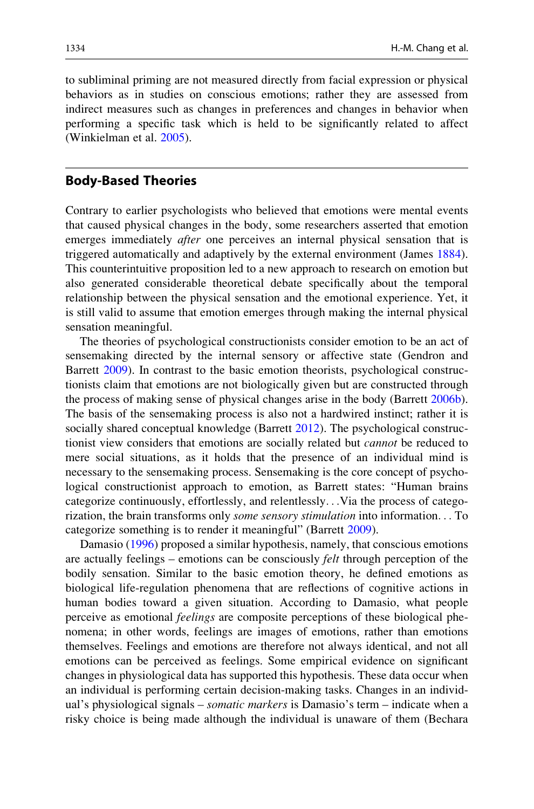to subliminal priming are not measured directly from facial expression or physical behaviors as in studies on conscious emotions; rather they are assessed from indirect measures such as changes in preferences and changes in behavior when performing a specific task which is held to be significantly related to affect (Winkielman et al. [2005](#page-28-0)).

#### Body-Based Theories

Contrary to earlier psychologists who believed that emotions were mental events that caused physical changes in the body, some researchers asserted that emotion emerges immediately *after* one perceives an internal physical sensation that is triggered automatically and adaptively by the external environment (James [1884\)](#page-26-0). This counterintuitive proposition led to a new approach to research on emotion but also generated considerable theoretical debate specifically about the temporal relationship between the physical sensation and the emotional experience. Yet, it is still valid to assume that emotion emerges through making the internal physical sensation meaningful.

The theories of psychological constructionists consider emotion to be an act of sensemaking directed by the internal sensory or affective state (Gendron and Barrett [2009](#page-26-0)). In contrast to the basic emotion theorists, psychological constructionists claim that emotions are not biologically given but are constructed through the process of making sense of physical changes arise in the body (Barrett [2006b\)](#page-25-0). The basis of the sensemaking process is also not a hardwired instinct; rather it is socially shared conceptual knowledge (Barrett [2012](#page-25-0)). The psychological constructionist view considers that emotions are socially related but cannot be reduced to mere social situations, as it holds that the presence of an individual mind is necessary to the sensemaking process. Sensemaking is the core concept of psychological constructionist approach to emotion, as Barrett states: "Human brains categorize continuously, effortlessly, and relentlessly...Via the process of categorization, the brain transforms only some sensory stimulation into information... To categorize something is to render it meaningful" (Barrett [2009](#page-25-0)).

Damasio ([1996\)](#page-26-0) proposed a similar hypothesis, namely, that conscious emotions are actually feelings – emotions can be consciously felt through perception of the bodily sensation. Similar to the basic emotion theory, he defined emotions as biological life-regulation phenomena that are reflections of cognitive actions in human bodies toward a given situation. According to Damasio, what people perceive as emotional feelings are composite perceptions of these biological phenomena; in other words, feelings are images of emotions, rather than emotions themselves. Feelings and emotions are therefore not always identical, and not all emotions can be perceived as feelings. Some empirical evidence on significant changes in physiological data has supported this hypothesis. These data occur when an individual is performing certain decision-making tasks. Changes in an individual's physiological signals – somatic markers is Damasio's term – indicate when a risky choice is being made although the individual is unaware of them (Bechara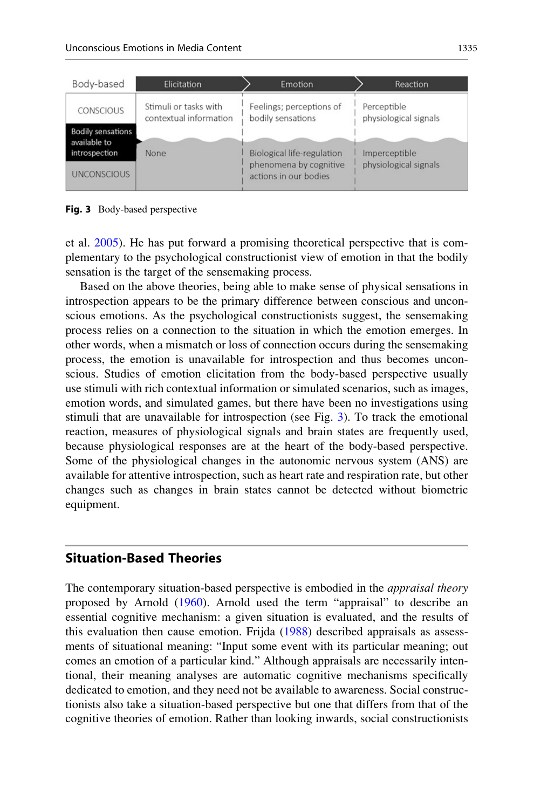| Body-based                                                                      | Elicitation                                     | Emotion                                                                       | Reaction                               |
|---------------------------------------------------------------------------------|-------------------------------------------------|-------------------------------------------------------------------------------|----------------------------------------|
| <b>CONSCIOUS</b>                                                                | Stimuli or tasks with<br>contextual information | Feelings; perceptions of<br>bodily sensations                                 | Perceptible<br>physiological signals   |
| <b>Bodily sensations</b><br>available to<br>introspection<br><b>UNCONSCIOUS</b> | None                                            | Biological life-regulation<br>phenomena by cognitive<br>actions in our bodies | Imperceptible<br>physiological signals |

Fig. 3 Body-based perspective

et al. [2005\)](#page-25-0). He has put forward a promising theoretical perspective that is complementary to the psychological constructionist view of emotion in that the bodily sensation is the target of the sensemaking process.

Based on the above theories, being able to make sense of physical sensations in introspection appears to be the primary difference between conscious and unconscious emotions. As the psychological constructionists suggest, the sensemaking process relies on a connection to the situation in which the emotion emerges. In other words, when a mismatch or loss of connection occurs during the sensemaking process, the emotion is unavailable for introspection and thus becomes unconscious. Studies of emotion elicitation from the body-based perspective usually use stimuli with rich contextual information or simulated scenarios, such as images, emotion words, and simulated games, but there have been no investigations using stimuli that are unavailable for introspection (see Fig. 3). To track the emotional reaction, measures of physiological signals and brain states are frequently used, because physiological responses are at the heart of the body-based perspective. Some of the physiological changes in the autonomic nervous system (ANS) are available for attentive introspection, such as heart rate and respiration rate, but other changes such as changes in brain states cannot be detected without biometric equipment.

### Situation-Based Theories

The contemporary situation-based perspective is embodied in the *appraisal theory* proposed by Arnold ([1960\)](#page-25-0). Arnold used the term "appraisal" to describe an essential cognitive mechanism: a given situation is evaluated, and the results of this evaluation then cause emotion. Frijda ([1988\)](#page-26-0) described appraisals as assessments of situational meaning: "Input some event with its particular meaning; out comes an emotion of a particular kind." Although appraisals are necessarily intentional, their meaning analyses are automatic cognitive mechanisms specifically dedicated to emotion, and they need not be available to awareness. Social constructionists also take a situation-based perspective but one that differs from that of the cognitive theories of emotion. Rather than looking inwards, social constructionists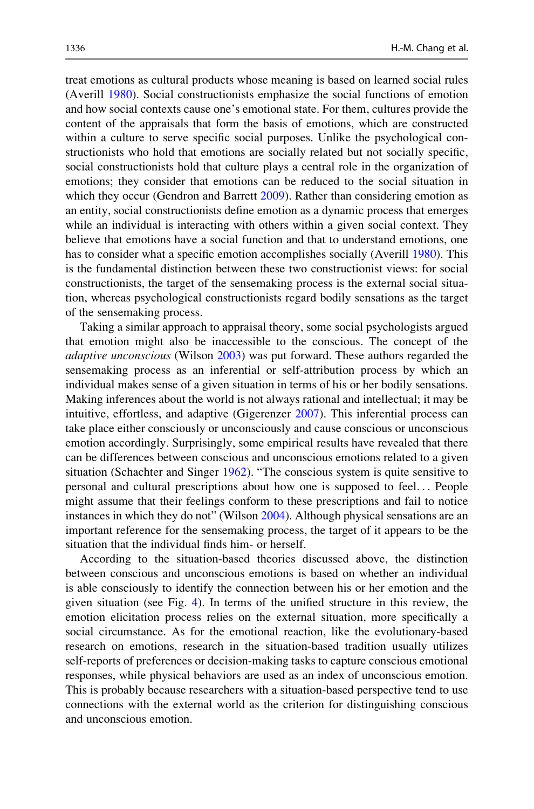treat emotions as cultural products whose meaning is based on learned social rules (Averill [1980\)](#page-25-0). Social constructionists emphasize the social functions of emotion and how social contexts cause one's emotional state. For them, cultures provide the content of the appraisals that form the basis of emotions, which are constructed within a culture to serve specific social purposes. Unlike the psychological constructionists who hold that emotions are socially related but not socially specific, social constructionists hold that culture plays a central role in the organization of emotions; they consider that emotions can be reduced to the social situation in which they occur (Gendron and Barrett [2009](#page-26-0)). Rather than considering emotion as an entity, social constructionists define emotion as a dynamic process that emerges while an individual is interacting with others within a given social context. They believe that emotions have a social function and that to understand emotions, one has to consider what a specific emotion accomplishes socially (Averill [1980](#page-25-0)). This is the fundamental distinction between these two constructionist views: for social constructionists, the target of the sensemaking process is the external social situation, whereas psychological constructionists regard bodily sensations as the target of the sensemaking process.

Taking a similar approach to appraisal theory, some social psychologists argued that emotion might also be inaccessible to the conscious. The concept of the adaptive unconscious (Wilson [2003\)](#page-28-0) was put forward. These authors regarded the sensemaking process as an inferential or self-attribution process by which an individual makes sense of a given situation in terms of his or her bodily sensations. Making inferences about the world is not always rational and intellectual; it may be intuitive, effortless, and adaptive (Gigerenzer [2007\)](#page-26-0). This inferential process can take place either consciously or unconsciously and cause conscious or unconscious emotion accordingly. Surprisingly, some empirical results have revealed that there can be differences between conscious and unconscious emotions related to a given situation (Schachter and Singer [1962](#page-27-0)). "The conscious system is quite sensitive to personal and cultural prescriptions about how one is supposed to feel... People might assume that their feelings conform to these prescriptions and fail to notice instances in which they do not" (Wilson [2004\)](#page-28-0). Although physical sensations are an important reference for the sensemaking process, the target of it appears to be the situation that the individual finds him- or herself.

According to the situation-based theories discussed above, the distinction between conscious and unconscious emotions is based on whether an individual is able consciously to identify the connection between his or her emotion and the given situation (see Fig. [4\)](#page-14-0). In terms of the unified structure in this review, the emotion elicitation process relies on the external situation, more specifically a social circumstance. As for the emotional reaction, like the evolutionary-based research on emotions, research in the situation-based tradition usually utilizes self-reports of preferences or decision-making tasks to capture conscious emotional responses, while physical behaviors are used as an index of unconscious emotion. This is probably because researchers with a situation-based perspective tend to use connections with the external world as the criterion for distinguishing conscious and unconscious emotion.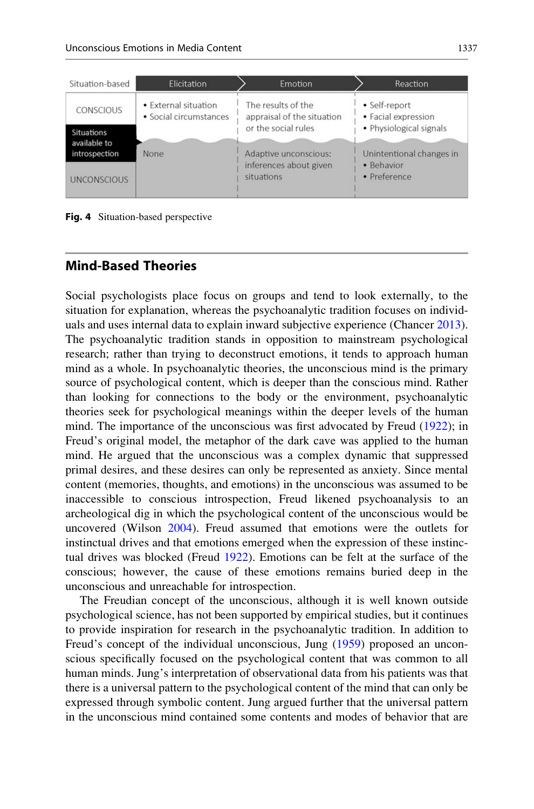<span id="page-14-0"></span>

| Situation-based                                    | <b>Elicitation</b>                             | Emotion                                          | Reaction                                            |
|----------------------------------------------------|------------------------------------------------|--------------------------------------------------|-----------------------------------------------------|
| <b>CONSCIOUS</b>                                   | • External situation<br>• Social circumstances | The results of the<br>appraisal of the situation | • Self-report<br>• Facial expression                |
| <b>Situations</b><br>available to<br>introspection | None                                           | or the social rules<br>Adaptive unconscious:     | • Physiological signals<br>Unintentional changes in |
| <b>UNCONSCIOUS</b>                                 |                                                | inferences about given<br>situations             | • Behavior<br>• Preference                          |

Fig. 4 Situation-based perspective

### Mind-Based Theories

Social psychologists place focus on groups and tend to look externally, to the situation for explanation, whereas the psychoanalytic tradition focuses on individuals and uses internal data to explain inward subjective experience (Chancer [2013\)](#page-25-0). The psychoanalytic tradition stands in opposition to mainstream psychological research; rather than trying to deconstruct emotions, it tends to approach human mind as a whole. In psychoanalytic theories, the unconscious mind is the primary source of psychological content, which is deeper than the conscious mind. Rather than looking for connections to the body or the environment, psychoanalytic theories seek for psychological meanings within the deeper levels of the human mind. The importance of the unconscious was first advocated by Freud ([1922\)](#page-26-0); in Freud's original model, the metaphor of the dark cave was applied to the human mind. He argued that the unconscious was a complex dynamic that suppressed primal desires, and these desires can only be represented as anxiety. Since mental content (memories, thoughts, and emotions) in the unconscious was assumed to be inaccessible to conscious introspection, Freud likened psychoanalysis to an archeological dig in which the psychological content of the unconscious would be uncovered (Wilson [2004](#page-28-0)). Freud assumed that emotions were the outlets for instinctual drives and that emotions emerged when the expression of these instinctual drives was blocked (Freud [1922](#page-26-0)). Emotions can be felt at the surface of the conscious; however, the cause of these emotions remains buried deep in the unconscious and unreachable for introspection.

The Freudian concept of the unconscious, although it is well known outside psychological science, has not been supported by empirical studies, but it continues to provide inspiration for research in the psychoanalytic tradition. In addition to Freud's concept of the individual unconscious, Jung [\(1959](#page-26-0)) proposed an unconscious specifically focused on the psychological content that was common to all human minds. Jung's interpretation of observational data from his patients was that there is a universal pattern to the psychological content of the mind that can only be expressed through symbolic content. Jung argued further that the universal pattern in the unconscious mind contained some contents and modes of behavior that are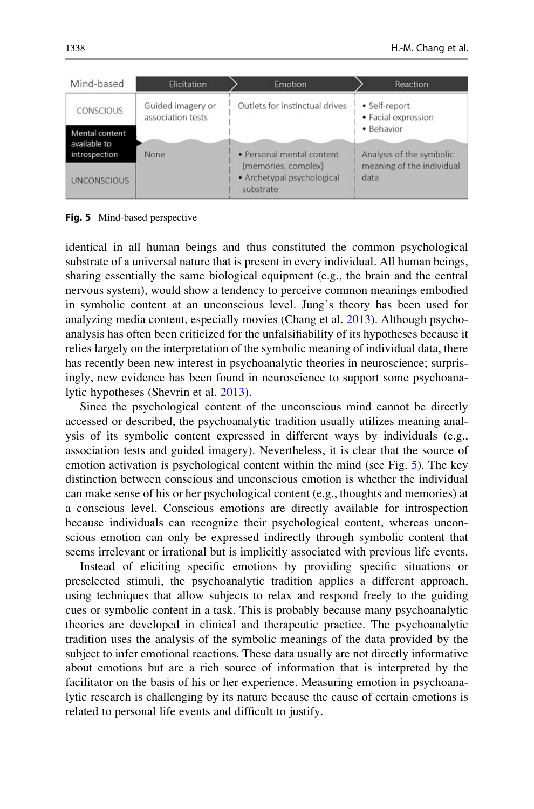| Mind-based                     | Elicitation                            | Emotion                                                        | Reaction                             |
|--------------------------------|----------------------------------------|----------------------------------------------------------------|--------------------------------------|
| <b>CONSCIOUS</b>               | Guided imagery or<br>association tests | Outlets for instinctual drives                                 | • Self-report<br>• Facial expression |
| Mental content<br>available to |                                        |                                                                | · Behavior                           |
| introspection                  | None                                   | • Personal mental content                                      | Analysis of the symbolic             |
| <b>UNCONSCIOUS</b>             |                                        | (memories, complex)<br>• Archetypal psychological<br>substrate | meaning of the individual<br>data    |

Fig. 5 Mind-based perspective

identical in all human beings and thus constituted the common psychological substrate of a universal nature that is present in every individual. All human beings, sharing essentially the same biological equipment (e.g., the brain and the central nervous system), would show a tendency to perceive common meanings embodied in symbolic content at an unconscious level. Jung's theory has been used for analyzing media content, especially movies (Chang et al. [2013](#page-25-0)). Although psychoanalysis has often been criticized for the unfalsifiability of its hypotheses because it relies largely on the interpretation of the symbolic meaning of individual data, there has recently been new interest in psychoanalytic theories in neuroscience; surprisingly, new evidence has been found in neuroscience to support some psychoanalytic hypotheses (Shevrin et al. [2013\)](#page-27-0).

Since the psychological content of the unconscious mind cannot be directly accessed or described, the psychoanalytic tradition usually utilizes meaning analysis of its symbolic content expressed in different ways by individuals (e.g., association tests and guided imagery). Nevertheless, it is clear that the source of emotion activation is psychological content within the mind (see Fig. 5). The key distinction between conscious and unconscious emotion is whether the individual can make sense of his or her psychological content (e.g., thoughts and memories) at a conscious level. Conscious emotions are directly available for introspection because individuals can recognize their psychological content, whereas unconscious emotion can only be expressed indirectly through symbolic content that seems irrelevant or irrational but is implicitly associated with previous life events.

Instead of eliciting specific emotions by providing specific situations or preselected stimuli, the psychoanalytic tradition applies a different approach, using techniques that allow subjects to relax and respond freely to the guiding cues or symbolic content in a task. This is probably because many psychoanalytic theories are developed in clinical and therapeutic practice. The psychoanalytic tradition uses the analysis of the symbolic meanings of the data provided by the subject to infer emotional reactions. These data usually are not directly informative about emotions but are a rich source of information that is interpreted by the facilitator on the basis of his or her experience. Measuring emotion in psychoanalytic research is challenging by its nature because the cause of certain emotions is related to personal life events and difficult to justify.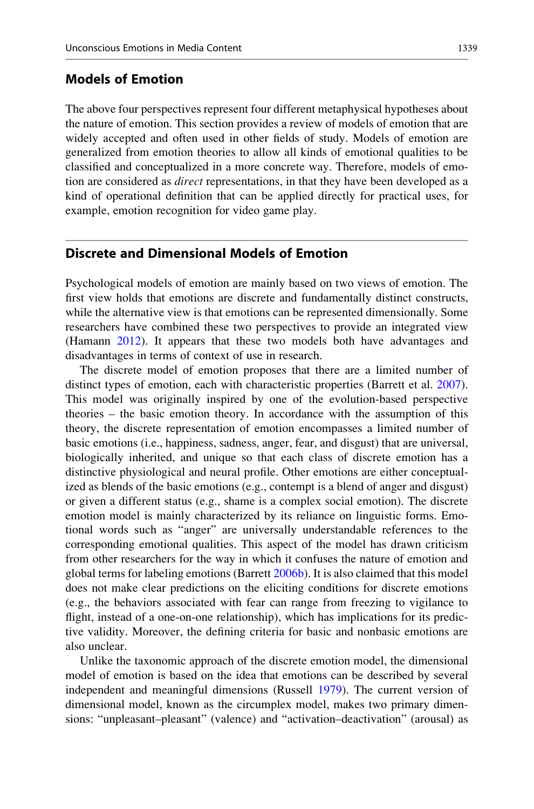### Models of Emotion

The above four perspectives represent four different metaphysical hypotheses about the nature of emotion. This section provides a review of models of emotion that are widely accepted and often used in other fields of study. Models of emotion are generalized from emotion theories to allow all kinds of emotional qualities to be classified and conceptualized in a more concrete way. Therefore, models of emotion are considered as *direct* representations, in that they have been developed as a kind of operational definition that can be applied directly for practical uses, for example, emotion recognition for video game play.

## Discrete and Dimensional Models of Emotion

Psychological models of emotion are mainly based on two views of emotion. The first view holds that emotions are discrete and fundamentally distinct constructs, while the alternative view is that emotions can be represented dimensionally. Some researchers have combined these two perspectives to provide an integrated view (Hamann [2012](#page-26-0)). It appears that these two models both have advantages and disadvantages in terms of context of use in research.

The discrete model of emotion proposes that there are a limited number of distinct types of emotion, each with characteristic properties (Barrett et al. [2007\)](#page-25-0). This model was originally inspired by one of the evolution-based perspective theories – the basic emotion theory. In accordance with the assumption of this theory, the discrete representation of emotion encompasses a limited number of basic emotions (i.e., happiness, sadness, anger, fear, and disgust) that are universal, biologically inherited, and unique so that each class of discrete emotion has a distinctive physiological and neural profile. Other emotions are either conceptualized as blends of the basic emotions (e.g., contempt is a blend of anger and disgust) or given a different status (e.g., shame is a complex social emotion). The discrete emotion model is mainly characterized by its reliance on linguistic forms. Emotional words such as "anger" are universally understandable references to the corresponding emotional qualities. This aspect of the model has drawn criticism from other researchers for the way in which it confuses the nature of emotion and global terms for labeling emotions (Barrett [2006b](#page-25-0)). It is also claimed that this model does not make clear predictions on the eliciting conditions for discrete emotions (e.g., the behaviors associated with fear can range from freezing to vigilance to flight, instead of a one-on-one relationship), which has implications for its predictive validity. Moreover, the defining criteria for basic and nonbasic emotions are also unclear.

Unlike the taxonomic approach of the discrete emotion model, the dimensional model of emotion is based on the idea that emotions can be described by several independent and meaningful dimensions (Russell [1979\)](#page-27-0). The current version of dimensional model, known as the circumplex model, makes two primary dimensions: "unpleasant–pleasant" (valence) and "activation–deactivation" (arousal) as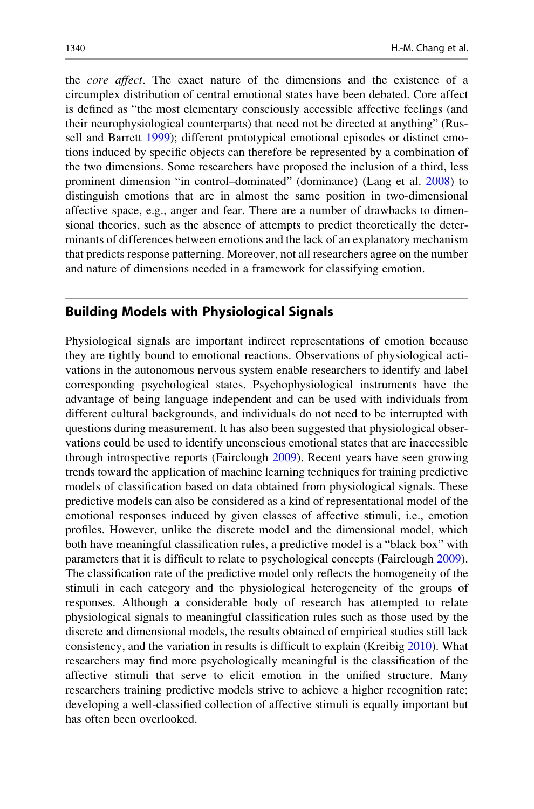the core affect. The exact nature of the dimensions and the existence of a circumplex distribution of central emotional states have been debated. Core affect is defined as "the most elementary consciously accessible affective feelings (and their neurophysiological counterparts) that need not be directed at anything" (Russell and Barrett [1999](#page-27-0)); different prototypical emotional episodes or distinct emotions induced by specific objects can therefore be represented by a combination of the two dimensions. Some researchers have proposed the inclusion of a third, less prominent dimension "in control–dominated" (dominance) (Lang et al. [2008\)](#page-27-0) to distinguish emotions that are in almost the same position in two-dimensional affective space, e.g., anger and fear. There are a number of drawbacks to dimensional theories, such as the absence of attempts to predict theoretically the determinants of differences between emotions and the lack of an explanatory mechanism that predicts response patterning. Moreover, not all researchers agree on the number and nature of dimensions needed in a framework for classifying emotion.

## Building Models with Physiological Signals

Physiological signals are important indirect representations of emotion because they are tightly bound to emotional reactions. Observations of physiological activations in the autonomous nervous system enable researchers to identify and label corresponding psychological states. Psychophysiological instruments have the advantage of being language independent and can be used with individuals from different cultural backgrounds, and individuals do not need to be interrupted with questions during measurement. It has also been suggested that physiological observations could be used to identify unconscious emotional states that are inaccessible through introspective reports (Fairclough [2009](#page-26-0)). Recent years have seen growing trends toward the application of machine learning techniques for training predictive models of classification based on data obtained from physiological signals. These predictive models can also be considered as a kind of representational model of the emotional responses induced by given classes of affective stimuli, i.e., emotion profiles. However, unlike the discrete model and the dimensional model, which both have meaningful classification rules, a predictive model is a "black box" with parameters that it is difficult to relate to psychological concepts (Fairclough [2009\)](#page-26-0). The classification rate of the predictive model only reflects the homogeneity of the stimuli in each category and the physiological heterogeneity of the groups of responses. Although a considerable body of research has attempted to relate physiological signals to meaningful classification rules such as those used by the discrete and dimensional models, the results obtained of empirical studies still lack consistency, and the variation in results is difficult to explain (Kreibig [2010\)](#page-27-0). What researchers may find more psychologically meaningful is the classification of the affective stimuli that serve to elicit emotion in the unified structure. Many researchers training predictive models strive to achieve a higher recognition rate; developing a well-classified collection of affective stimuli is equally important but has often been overlooked.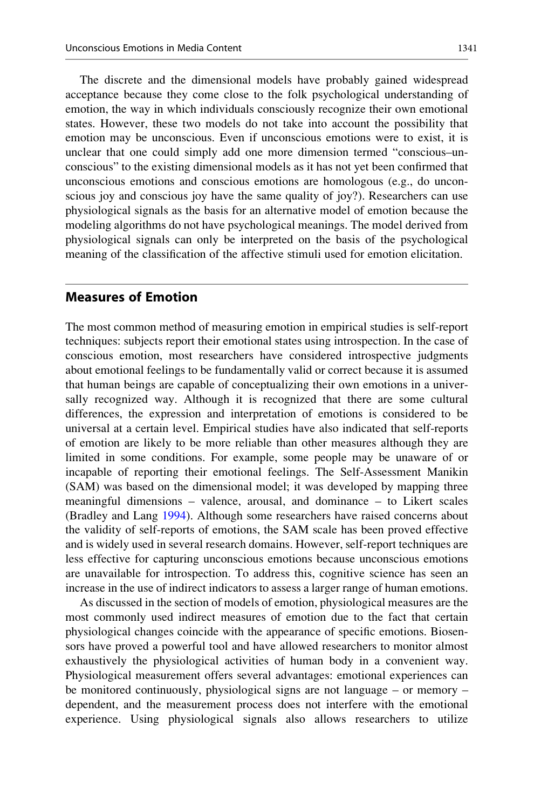The discrete and the dimensional models have probably gained widespread acceptance because they come close to the folk psychological understanding of emotion, the way in which individuals consciously recognize their own emotional states. However, these two models do not take into account the possibility that emotion may be unconscious. Even if unconscious emotions were to exist, it is unclear that one could simply add one more dimension termed "conscious–unconscious" to the existing dimensional models as it has not yet been confirmed that unconscious emotions and conscious emotions are homologous (e.g., do unconscious joy and conscious joy have the same quality of joy?). Researchers can use physiological signals as the basis for an alternative model of emotion because the modeling algorithms do not have psychological meanings. The model derived from physiological signals can only be interpreted on the basis of the psychological meaning of the classification of the affective stimuli used for emotion elicitation.

#### Measures of Emotion

The most common method of measuring emotion in empirical studies is self-report techniques: subjects report their emotional states using introspection. In the case of conscious emotion, most researchers have considered introspective judgments about emotional feelings to be fundamentally valid or correct because it is assumed that human beings are capable of conceptualizing their own emotions in a universally recognized way. Although it is recognized that there are some cultural differences, the expression and interpretation of emotions is considered to be universal at a certain level. Empirical studies have also indicated that self-reports of emotion are likely to be more reliable than other measures although they are limited in some conditions. For example, some people may be unaware of or incapable of reporting their emotional feelings. The Self-Assessment Manikin (SAM) was based on the dimensional model; it was developed by mapping three meaningful dimensions – valence, arousal, and dominance – to Likert scales (Bradley and Lang [1994](#page-25-0)). Although some researchers have raised concerns about the validity of self-reports of emotions, the SAM scale has been proved effective and is widely used in several research domains. However, self-report techniques are less effective for capturing unconscious emotions because unconscious emotions are unavailable for introspection. To address this, cognitive science has seen an increase in the use of indirect indicators to assess a larger range of human emotions.

As discussed in the section of models of emotion, physiological measures are the most commonly used indirect measures of emotion due to the fact that certain physiological changes coincide with the appearance of specific emotions. Biosensors have proved a powerful tool and have allowed researchers to monitor almost exhaustively the physiological activities of human body in a convenient way. Physiological measurement offers several advantages: emotional experiences can be monitored continuously, physiological signs are not language – or memory – dependent, and the measurement process does not interfere with the emotional experience. Using physiological signals also allows researchers to utilize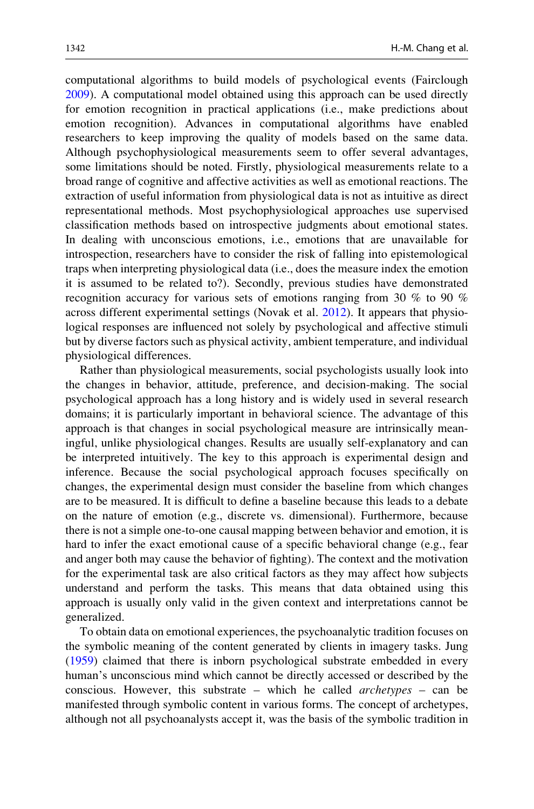computational algorithms to build models of psychological events (Fairclough [2009\)](#page-26-0). A computational model obtained using this approach can be used directly for emotion recognition in practical applications (i.e., make predictions about emotion recognition). Advances in computational algorithms have enabled researchers to keep improving the quality of models based on the same data. Although psychophysiological measurements seem to offer several advantages, some limitations should be noted. Firstly, physiological measurements relate to a broad range of cognitive and affective activities as well as emotional reactions. The extraction of useful information from physiological data is not as intuitive as direct representational methods. Most psychophysiological approaches use supervised classification methods based on introspective judgments about emotional states. In dealing with unconscious emotions, i.e., emotions that are unavailable for introspection, researchers have to consider the risk of falling into epistemological traps when interpreting physiological data (i.e., does the measure index the emotion it is assumed to be related to?). Secondly, previous studies have demonstrated recognition accuracy for various sets of emotions ranging from 30 % to 90 % across different experimental settings (Novak et al. [2012](#page-27-0)). It appears that physiological responses are influenced not solely by psychological and affective stimuli but by diverse factors such as physical activity, ambient temperature, and individual physiological differences.

Rather than physiological measurements, social psychologists usually look into the changes in behavior, attitude, preference, and decision-making. The social psychological approach has a long history and is widely used in several research domains; it is particularly important in behavioral science. The advantage of this approach is that changes in social psychological measure are intrinsically meaningful, unlike physiological changes. Results are usually self-explanatory and can be interpreted intuitively. The key to this approach is experimental design and inference. Because the social psychological approach focuses specifically on changes, the experimental design must consider the baseline from which changes are to be measured. It is difficult to define a baseline because this leads to a debate on the nature of emotion (e.g., discrete vs. dimensional). Furthermore, because there is not a simple one-to-one causal mapping between behavior and emotion, it is hard to infer the exact emotional cause of a specific behavioral change (e.g., fear and anger both may cause the behavior of fighting). The context and the motivation for the experimental task are also critical factors as they may affect how subjects understand and perform the tasks. This means that data obtained using this approach is usually only valid in the given context and interpretations cannot be generalized.

To obtain data on emotional experiences, the psychoanalytic tradition focuses on the symbolic meaning of the content generated by clients in imagery tasks. Jung [\(1959](#page-26-0)) claimed that there is inborn psychological substrate embedded in every human's unconscious mind which cannot be directly accessed or described by the conscious. However, this substrate – which he called archetypes – can be manifested through symbolic content in various forms. The concept of archetypes, although not all psychoanalysts accept it, was the basis of the symbolic tradition in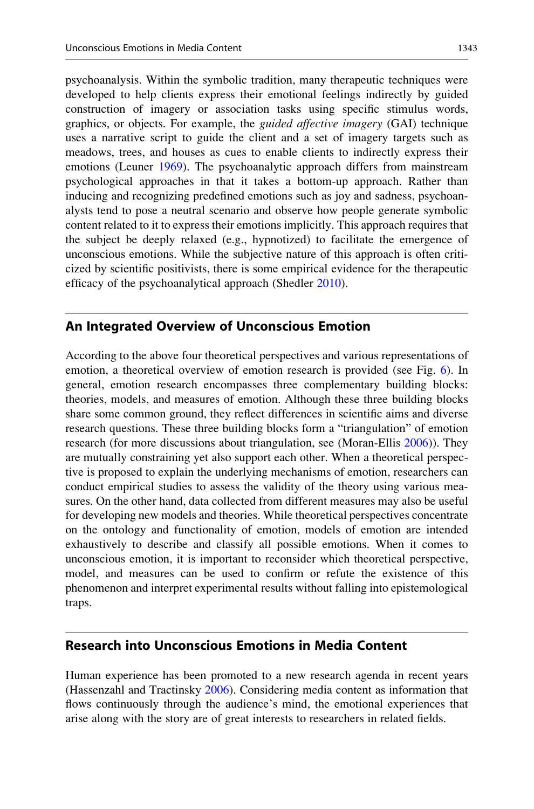psychoanalysis. Within the symbolic tradition, many therapeutic techniques were developed to help clients express their emotional feelings indirectly by guided construction of imagery or association tasks using specific stimulus words, graphics, or objects. For example, the guided affective imagery (GAI) technique uses a narrative script to guide the client and a set of imagery targets such as meadows, trees, and houses as cues to enable clients to indirectly express their emotions (Leuner [1969](#page-27-0)). The psychoanalytic approach differs from mainstream psychological approaches in that it takes a bottom-up approach. Rather than inducing and recognizing predefined emotions such as joy and sadness, psychoanalysts tend to pose a neutral scenario and observe how people generate symbolic content related to it to express their emotions implicitly. This approach requires that the subject be deeply relaxed (e.g., hypnotized) to facilitate the emergence of unconscious emotions. While the subjective nature of this approach is often criticized by scientific positivists, there is some empirical evidence for the therapeutic efficacy of the psychoanalytical approach (Shedler [2010\)](#page-27-0).

#### An Integrated Overview of Unconscious Emotion

According to the above four theoretical perspectives and various representations of emotion, a theoretical overview of emotion research is provided (see Fig. [6\)](#page-21-0). In general, emotion research encompasses three complementary building blocks: theories, models, and measures of emotion. Although these three building blocks share some common ground, they reflect differences in scientific aims and diverse research questions. These three building blocks form a "triangulation" of emotion research (for more discussions about triangulation, see (Moran-Ellis [2006\)](#page-27-0)). They are mutually constraining yet also support each other. When a theoretical perspective is proposed to explain the underlying mechanisms of emotion, researchers can conduct empirical studies to assess the validity of the theory using various measures. On the other hand, data collected from different measures may also be useful for developing new models and theories. While theoretical perspectives concentrate on the ontology and functionality of emotion, models of emotion are intended exhaustively to describe and classify all possible emotions. When it comes to unconscious emotion, it is important to reconsider which theoretical perspective, model, and measures can be used to confirm or refute the existence of this phenomenon and interpret experimental results without falling into epistemological traps.

## Research into Unconscious Emotions in Media Content

Human experience has been promoted to a new research agenda in recent years (Hassenzahl and Tractinsky [2006\)](#page-26-0). Considering media content as information that flows continuously through the audience's mind, the emotional experiences that arise along with the story are of great interests to researchers in related fields.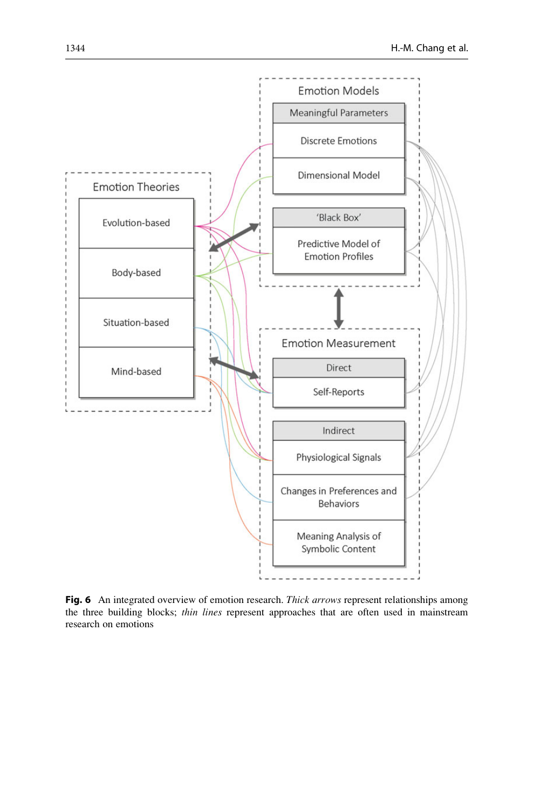<span id="page-21-0"></span>

Fig. 6 An integrated overview of emotion research. Thick arrows represent relationships among the three building blocks; *thin lines* represent approaches that are often used in mainstream research on emotions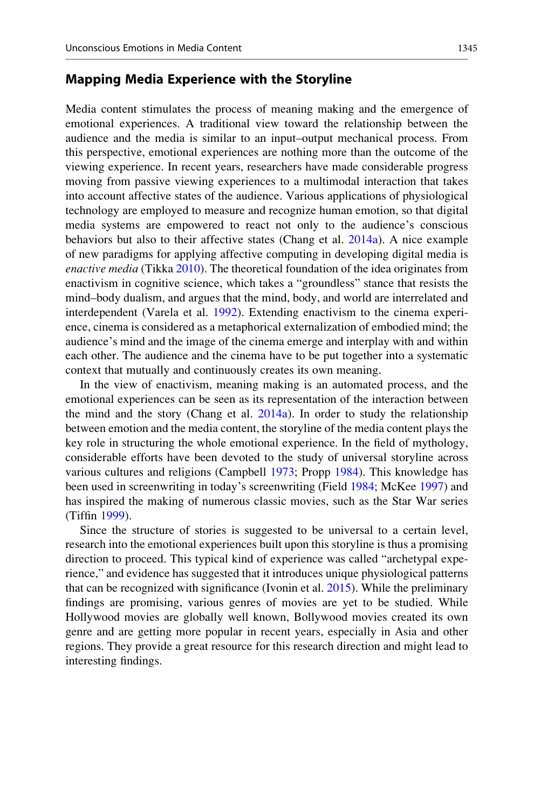Media content stimulates the process of meaning making and the emergence of emotional experiences. A traditional view toward the relationship between the audience and the media is similar to an input–output mechanical process. From this perspective, emotional experiences are nothing more than the outcome of the viewing experience. In recent years, researchers have made considerable progress moving from passive viewing experiences to a multimodal interaction that takes into account affective states of the audience. Various applications of physiological technology are employed to measure and recognize human emotion, so that digital media systems are empowered to react not only to the audience's conscious behaviors but also to their affective states (Chang et al. [2014a](#page-26-0)). A nice example of new paradigms for applying affective computing in developing digital media is enactive media (Tikka [2010\)](#page-28-0). The theoretical foundation of the idea originates from enactivism in cognitive science, which takes a "groundless" stance that resists the mind–body dualism, and argues that the mind, body, and world are interrelated and interdependent (Varela et al. [1992](#page-28-0)). Extending enactivism to the cinema experience, cinema is considered as a metaphorical externalization of embodied mind; the audience's mind and the image of the cinema emerge and interplay with and within each other. The audience and the cinema have to be put together into a systematic context that mutually and continuously creates its own meaning.

In the view of enactivism, meaning making is an automated process, and the emotional experiences can be seen as its representation of the interaction between the mind and the story (Chang et al.  $2014a$ ). In order to study the relationship between emotion and the media content, the storyline of the media content plays the key role in structuring the whole emotional experience. In the field of mythology, considerable efforts have been devoted to the study of universal storyline across various cultures and religions (Campbell [1973](#page-25-0); Propp [1984](#page-27-0)). This knowledge has been used in screenwriting in today's screenwriting (Field [1984](#page-26-0); McKee [1997](#page-27-0)) and has inspired the making of numerous classic movies, such as the Star War series (Tiffin [1999\)](#page-27-0).

Since the structure of stories is suggested to be universal to a certain level, research into the emotional experiences built upon this storyline is thus a promising direction to proceed. This typical kind of experience was called "archetypal experience," and evidence has suggested that it introduces unique physiological patterns that can be recognized with significance (Ivonin et al. [2015](#page-26-0)). While the preliminary findings are promising, various genres of movies are yet to be studied. While Hollywood movies are globally well known, Bollywood movies created its own genre and are getting more popular in recent years, especially in Asia and other regions. They provide a great resource for this research direction and might lead to interesting findings.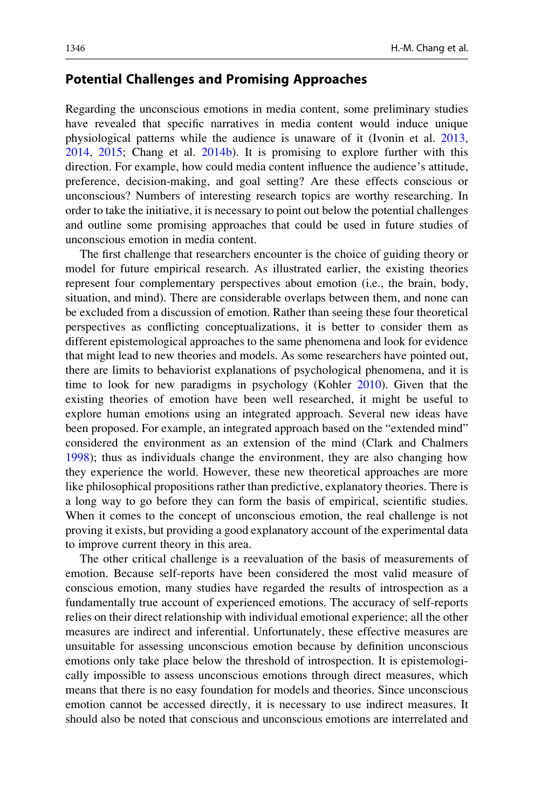## Potential Challenges and Promising Approaches

Regarding the unconscious emotions in media content, some preliminary studies have revealed that specific narratives in media content would induce unique physiological patterns while the audience is unaware of it (Ivonin et al. [2013](#page-26-0), [2014,](#page-26-0) [2015](#page-26-0); Chang et al. [2014b\)](#page-26-0). It is promising to explore further with this direction. For example, how could media content influence the audience's attitude, preference, decision-making, and goal setting? Are these effects conscious or unconscious? Numbers of interesting research topics are worthy researching. In order to take the initiative, it is necessary to point out below the potential challenges and outline some promising approaches that could be used in future studies of unconscious emotion in media content.

The first challenge that researchers encounter is the choice of guiding theory or model for future empirical research. As illustrated earlier, the existing theories represent four complementary perspectives about emotion (i.e., the brain, body, situation, and mind). There are considerable overlaps between them, and none can be excluded from a discussion of emotion. Rather than seeing these four theoretical perspectives as conflicting conceptualizations, it is better to consider them as different epistemological approaches to the same phenomena and look for evidence that might lead to new theories and models. As some researchers have pointed out, there are limits to behaviorist explanations of psychological phenomena, and it is time to look for new paradigms in psychology (Kohler [2010\)](#page-26-0). Given that the existing theories of emotion have been well researched, it might be useful to explore human emotions using an integrated approach. Several new ideas have been proposed. For example, an integrated approach based on the "extended mind" considered the environment as an extension of the mind (Clark and Chalmers [1998\)](#page-26-0); thus as individuals change the environment, they are also changing how they experience the world. However, these new theoretical approaches are more like philosophical propositions rather than predictive, explanatory theories. There is a long way to go before they can form the basis of empirical, scientific studies. When it comes to the concept of unconscious emotion, the real challenge is not proving it exists, but providing a good explanatory account of the experimental data to improve current theory in this area.

The other critical challenge is a reevaluation of the basis of measurements of emotion. Because self-reports have been considered the most valid measure of conscious emotion, many studies have regarded the results of introspection as a fundamentally true account of experienced emotions. The accuracy of self-reports relies on their direct relationship with individual emotional experience; all the other measures are indirect and inferential. Unfortunately, these effective measures are unsuitable for assessing unconscious emotion because by definition unconscious emotions only take place below the threshold of introspection. It is epistemologically impossible to assess unconscious emotions through direct measures, which means that there is no easy foundation for models and theories. Since unconscious emotion cannot be accessed directly, it is necessary to use indirect measures. It should also be noted that conscious and unconscious emotions are interrelated and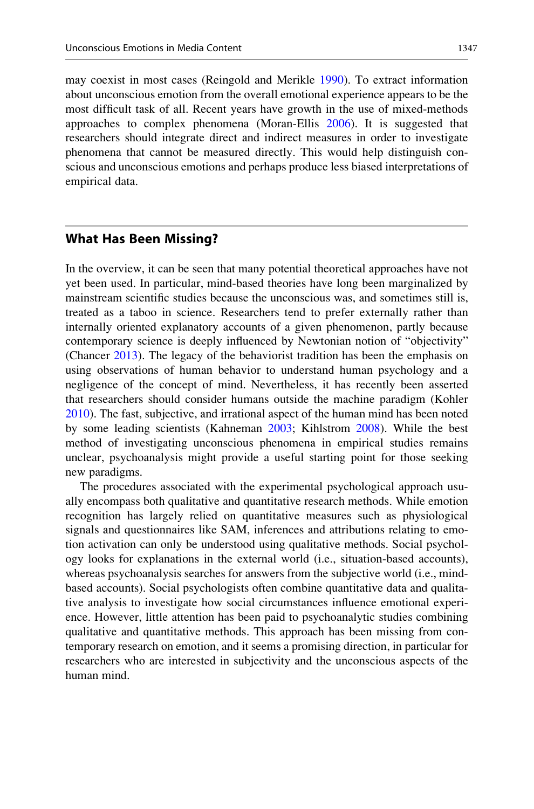may coexist in most cases (Reingold and Merikle [1990](#page-27-0)). To extract information about unconscious emotion from the overall emotional experience appears to be the most difficult task of all. Recent years have growth in the use of mixed-methods approaches to complex phenomena (Moran-Ellis [2006\)](#page-27-0). It is suggested that researchers should integrate direct and indirect measures in order to investigate phenomena that cannot be measured directly. This would help distinguish conscious and unconscious emotions and perhaps produce less biased interpretations of empirical data.

## What Has Been Missing?

In the overview, it can be seen that many potential theoretical approaches have not yet been used. In particular, mind-based theories have long been marginalized by mainstream scientific studies because the unconscious was, and sometimes still is, treated as a taboo in science. Researchers tend to prefer externally rather than internally oriented explanatory accounts of a given phenomenon, partly because contemporary science is deeply influenced by Newtonian notion of "objectivity" (Chancer [2013\)](#page-25-0). The legacy of the behaviorist tradition has been the emphasis on using observations of human behavior to understand human psychology and a negligence of the concept of mind. Nevertheless, it has recently been asserted that researchers should consider humans outside the machine paradigm (Kohler [2010\)](#page-26-0). The fast, subjective, and irrational aspect of the human mind has been noted by some leading scientists (Kahneman [2003;](#page-26-0) Kihlstrom [2008](#page-26-0)). While the best method of investigating unconscious phenomena in empirical studies remains unclear, psychoanalysis might provide a useful starting point for those seeking new paradigms.

The procedures associated with the experimental psychological approach usually encompass both qualitative and quantitative research methods. While emotion recognition has largely relied on quantitative measures such as physiological signals and questionnaires like SAM, inferences and attributions relating to emotion activation can only be understood using qualitative methods. Social psychology looks for explanations in the external world (i.e., situation-based accounts), whereas psychoanalysis searches for answers from the subjective world (i.e., mindbased accounts). Social psychologists often combine quantitative data and qualitative analysis to investigate how social circumstances influence emotional experience. However, little attention has been paid to psychoanalytic studies combining qualitative and quantitative methods. This approach has been missing from contemporary research on emotion, and it seems a promising direction, in particular for researchers who are interested in subjectivity and the unconscious aspects of the human mind.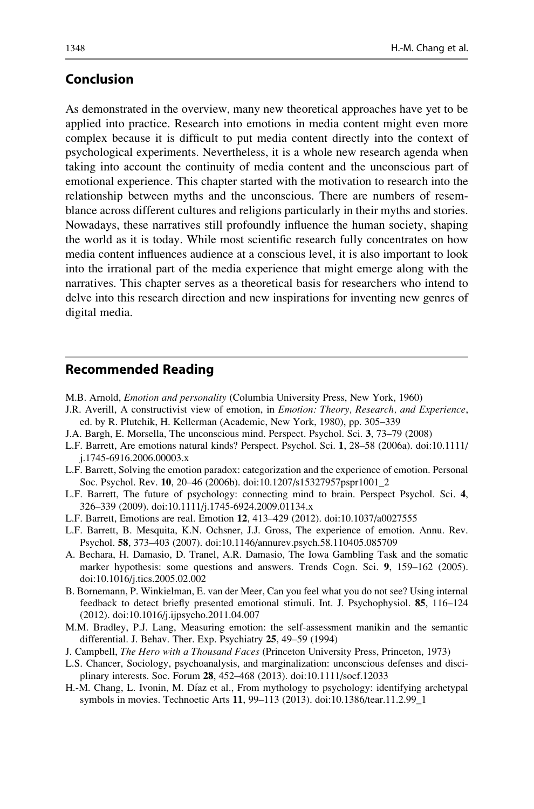## <span id="page-25-0"></span>Conclusion

As demonstrated in the overview, many new theoretical approaches have yet to be applied into practice. Research into emotions in media content might even more complex because it is difficult to put media content directly into the context of psychological experiments. Nevertheless, it is a whole new research agenda when taking into account the continuity of media content and the unconscious part of emotional experience. This chapter started with the motivation to research into the relationship between myths and the unconscious. There are numbers of resemblance across different cultures and religions particularly in their myths and stories. Nowadays, these narratives still profoundly influence the human society, shaping the world as it is today. While most scientific research fully concentrates on how media content influences audience at a conscious level, it is also important to look into the irrational part of the media experience that might emerge along with the narratives. This chapter serves as a theoretical basis for researchers who intend to delve into this research direction and new inspirations for inventing new genres of digital media.

## Recommended Reading

- M.B. Arnold, Emotion and personality (Columbia University Press, New York, 1960)
- J.R. Averill, A constructivist view of emotion, in *Emotion: Theory, Research, and Experience*, ed. by R. Plutchik, H. Kellerman (Academic, New York, 1980), pp. 305–339
- J.A. Bargh, E. Morsella, The unconscious mind. Perspect. Psychol. Sci. 3, 73–79 (2008)
- L.F. Barrett, Are emotions natural kinds? Perspect. Psychol. Sci. 1, 28–58 (2006a). doi:10.1111/ j.1745-6916.2006.00003.x
- L.F. Barrett, Solving the emotion paradox: categorization and the experience of emotion. Personal Soc. Psychol. Rev. 10, 20–46 (2006b). doi:10.1207/s15327957pspr1001\_2
- L.F. Barrett, The future of psychology: connecting mind to brain. Perspect Psychol. Sci. 4, 326–339 (2009). doi:10.1111/j.1745-6924.2009.01134.x
- L.F. Barrett, Emotions are real. Emotion 12, 413–429 (2012). doi:10.1037/a0027555
- L.F. Barrett, B. Mesquita, K.N. Ochsner, J.J. Gross, The experience of emotion. Annu. Rev. Psychol. 58, 373–403 (2007). doi:10.1146/annurev.psych.58.110405.085709
- A. Bechara, H. Damasio, D. Tranel, A.R. Damasio, The Iowa Gambling Task and the somatic marker hypothesis: some questions and answers. Trends Cogn. Sci. 9, 159–162 (2005). doi:10.1016/j.tics.2005.02.002
- B. Bornemann, P. Winkielman, E. van der Meer, Can you feel what you do not see? Using internal feedback to detect briefly presented emotional stimuli. Int. J. Psychophysiol. 85, 116–124 (2012). doi:10.1016/j.ijpsycho.2011.04.007
- M.M. Bradley, P.J. Lang, Measuring emotion: the self-assessment manikin and the semantic differential. J. Behav. Ther. Exp. Psychiatry 25, 49–59 (1994)
- J. Campbell, The Hero with a Thousand Faces (Princeton University Press, Princeton, 1973)
- L.S. Chancer, Sociology, psychoanalysis, and marginalization: unconscious defenses and disciplinary interests. Soc. Forum 28, 452–468 (2013). doi:10.1111/socf.12033
- H.-M. Chang, L. Ivonin, M. Dı´az et al., From mythology to psychology: identifying archetypal symbols in movies. Technoetic Arts 11, 99–113 (2013). doi:10.1386/tear.11.2.99\_1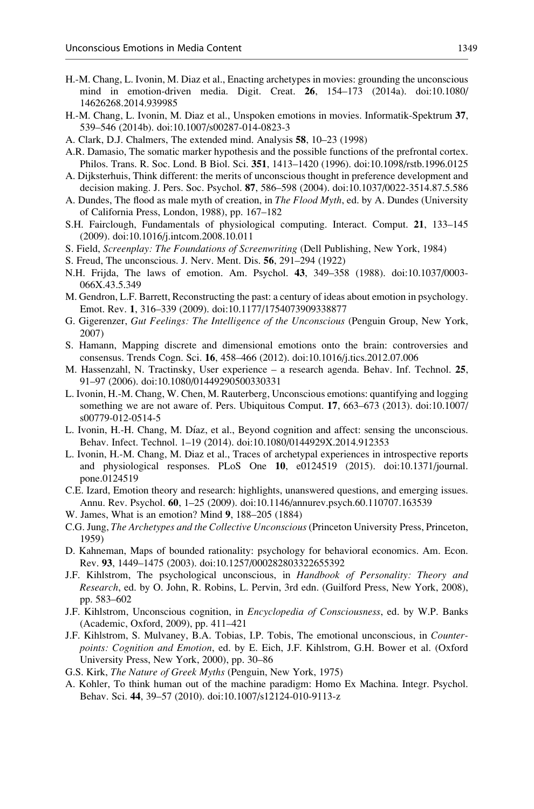- <span id="page-26-0"></span>H.-M. Chang, L. Ivonin, M. Diaz et al., Enacting archetypes in movies: grounding the unconscious mind in emotion-driven media. Digit. Creat. 26, 154–173 (2014a). doi:10.1080/ 14626268.2014.939985
- H.-M. Chang, L. Ivonin, M. Diaz et al., Unspoken emotions in movies. Informatik-Spektrum 37, 539–546 (2014b). doi:10.1007/s00287-014-0823-3
- A. Clark, D.J. Chalmers, The extended mind. Analysis 58, 10–23 (1998)
- A.R. Damasio, The somatic marker hypothesis and the possible functions of the prefrontal cortex. Philos. Trans. R. Soc. Lond. B Biol. Sci. 351, 1413–1420 (1996). doi:10.1098/rstb.1996.0125
- A. Dijksterhuis, Think different: the merits of unconscious thought in preference development and decision making. J. Pers. Soc. Psychol. 87, 586–598 (2004). doi:10.1037/0022-3514.87.5.586
- A. Dundes, The flood as male myth of creation, in The Flood Myth, ed. by A. Dundes (University of California Press, London, 1988), pp. 167–182
- S.H. Fairclough, Fundamentals of physiological computing. Interact. Comput. 21, 133–145 (2009). doi:10.1016/j.intcom.2008.10.011
- S. Field, Screenplay: The Foundations of Screenwriting (Dell Publishing, New York, 1984)
- S. Freud, The unconscious. J. Nerv. Ment. Dis. 56, 291–294 (1922)
- N.H. Frijda, The laws of emotion. Am. Psychol. 43, 349–358 (1988). doi:10.1037/0003- 066X.43.5.349
- M. Gendron, L.F. Barrett, Reconstructing the past: a century of ideas about emotion in psychology. Emot. Rev. 1, 316–339 (2009). doi:10.1177/1754073909338877
- G. Gigerenzer, Gut Feelings: The Intelligence of the Unconscious (Penguin Group, New York, 2007)
- S. Hamann, Mapping discrete and dimensional emotions onto the brain: controversies and consensus. Trends Cogn. Sci. 16, 458–466 (2012). doi:10.1016/j.tics.2012.07.006
- M. Hassenzahl, N. Tractinsky, User experience a research agenda. Behav. Inf. Technol. 25, 91–97 (2006). doi:10.1080/01449290500330331
- L. Ivonin, H.-M. Chang, W. Chen, M. Rauterberg, Unconscious emotions: quantifying and logging something we are not aware of. Pers. Ubiquitous Comput. 17, 663–673 (2013). doi:10.1007/ s00779-012-0514-5
- L. Ivonin, H.-H. Chang, M. Díaz, et al., Beyond cognition and affect: sensing the unconscious. Behav. Infect. Technol. 1–19 (2014). doi:10.1080/0144929X.2014.912353
- L. Ivonin, H.-M. Chang, M. Diaz et al., Traces of archetypal experiences in introspective reports and physiological responses. PLoS One 10, e0124519 (2015). doi:10.1371/journal. pone.0124519
- C.E. Izard, Emotion theory and research: highlights, unanswered questions, and emerging issues. Annu. Rev. Psychol. 60, 1–25 (2009). doi:10.1146/annurev.psych.60.110707.163539
- W. James, What is an emotion? Mind 9, 188–205 (1884)
- C.G. Jung, The Archetypes and the Collective Unconscious (Princeton University Press, Princeton, 1959)
- D. Kahneman, Maps of bounded rationality: psychology for behavioral economics. Am. Econ. Rev. 93, 1449–1475 (2003). doi:10.1257/000282803322655392
- J.F. Kihlstrom, The psychological unconscious, in Handbook of Personality: Theory and Research, ed. by O. John, R. Robins, L. Pervin, 3rd edn. (Guilford Press, New York, 2008), pp. 583–602
- J.F. Kihlstrom, Unconscious cognition, in Encyclopedia of Consciousness, ed. by W.P. Banks (Academic, Oxford, 2009), pp. 411–421
- J.F. Kihlstrom, S. Mulvaney, B.A. Tobias, I.P. Tobis, The emotional unconscious, in Counterpoints: Cognition and Emotion, ed. by E. Eich, J.F. Kihlstrom, G.H. Bower et al. (Oxford University Press, New York, 2000), pp. 30–86
- G.S. Kirk, The Nature of Greek Myths (Penguin, New York, 1975)
- A. Kohler, To think human out of the machine paradigm: Homo Ex Machina. Integr. Psychol. Behav. Sci. 44, 39–57 (2010). doi:10.1007/s12124-010-9113-z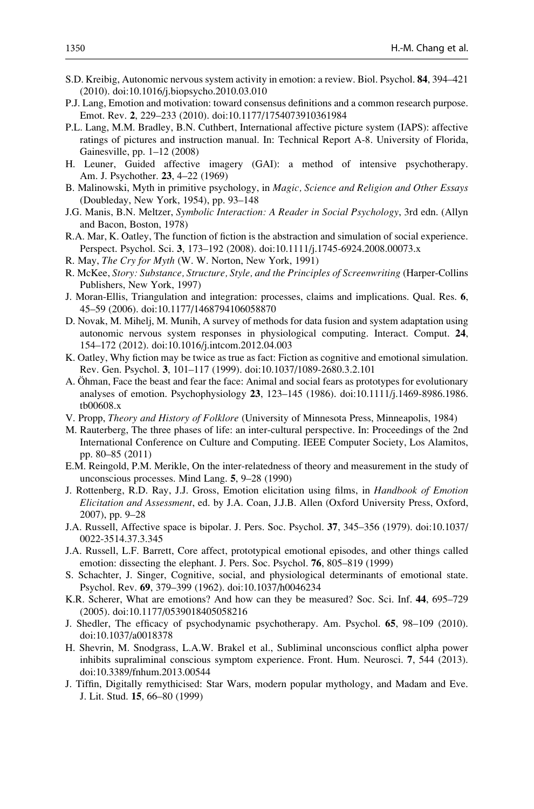- <span id="page-27-0"></span>S.D. Kreibig, Autonomic nervous system activity in emotion: a review. Biol. Psychol. 84, 394–421 (2010). doi:10.1016/j.biopsycho.2010.03.010
- P.J. Lang, Emotion and motivation: toward consensus definitions and a common research purpose. Emot. Rev. 2, 229–233 (2010). doi:10.1177/1754073910361984
- P.L. Lang, M.M. Bradley, B.N. Cuthbert, International affective picture system (IAPS): affective ratings of pictures and instruction manual. In: Technical Report A-8. University of Florida, Gainesville, pp. 1–12 (2008)
- H. Leuner, Guided affective imagery (GAI): a method of intensive psychotherapy. Am. J. Psychother. 23, 4–22 (1969)
- B. Malinowski, Myth in primitive psychology, in Magic, Science and Religion and Other Essays (Doubleday, New York, 1954), pp. 93–148
- J.G. Manis, B.N. Meltzer, Symbolic Interaction: A Reader in Social Psychology, 3rd edn. (Allyn and Bacon, Boston, 1978)
- R.A. Mar, K. Oatley, The function of fiction is the abstraction and simulation of social experience. Perspect. Psychol. Sci. 3, 173-192 (2008). doi:10.1111/j.1745-6924.2008.00073.x
- R. May, The Cry for Myth (W. W. Norton, New York, 1991)
- R. McKee, Story: Substance, Structure, Style, and the Principles of Screenwriting (Harper-Collins Publishers, New York, 1997)
- J. Moran-Ellis, Triangulation and integration: processes, claims and implications. Qual. Res. 6, 45–59 (2006). doi:10.1177/1468794106058870
- D. Novak, M. Mihelj, M. Munih, A survey of methods for data fusion and system adaptation using autonomic nervous system responses in physiological computing. Interact. Comput. 24, 154–172 (2012). doi:10.1016/j.intcom.2012.04.003
- K. Oatley, Why fiction may be twice as true as fact: Fiction as cognitive and emotional simulation. Rev. Gen. Psychol. 3, 101–117 (1999). doi:10.1037/1089-2680.3.2.101
- A. Öhman, Face the beast and fear the face: Animal and social fears as prototypes for evolutionary analyses of emotion. Psychophysiology 23, 123–145 (1986). doi:10.1111/j.1469-8986.1986. tb00608.x
- V. Propp, Theory and History of Folklore (University of Minnesota Press, Minneapolis, 1984)
- M. Rauterberg, The three phases of life: an inter-cultural perspective. In: Proceedings of the 2nd International Conference on Culture and Computing. IEEE Computer Society, Los Alamitos, pp. 80–85 (2011)
- E.M. Reingold, P.M. Merikle, On the inter-relatedness of theory and measurement in the study of unconscious processes. Mind Lang. 5, 9–28 (1990)
- J. Rottenberg, R.D. Ray, J.J. Gross, Emotion elicitation using films, in Handbook of Emotion Elicitation and Assessment, ed. by J.A. Coan, J.J.B. Allen (Oxford University Press, Oxford, 2007), pp. 9–28
- J.A. Russell, Affective space is bipolar. J. Pers. Soc. Psychol. 37, 345–356 (1979). doi:10.1037/ 0022-3514.37.3.345
- J.A. Russell, L.F. Barrett, Core affect, prototypical emotional episodes, and other things called emotion: dissecting the elephant. J. Pers. Soc. Psychol. 76, 805–819 (1999)
- S. Schachter, J. Singer, Cognitive, social, and physiological determinants of emotional state. Psychol. Rev. 69, 379–399 (1962). doi:10.1037/h0046234
- K.R. Scherer, What are emotions? And how can they be measured? Soc. Sci. Inf. 44, 695–729 (2005). doi:10.1177/0539018405058216
- J. Shedler, The efficacy of psychodynamic psychotherapy. Am. Psychol. 65, 98–109 (2010). doi:10.1037/a0018378
- H. Shevrin, M. Snodgrass, L.A.W. Brakel et al., Subliminal unconscious conflict alpha power inhibits supraliminal conscious symptom experience. Front. Hum. Neurosci. 7, 544 (2013). doi:10.3389/fnhum.2013.00544
- J. Tiffin, Digitally remythicised: Star Wars, modern popular mythology, and Madam and Eve. J. Lit. Stud. 15, 66–80 (1999)